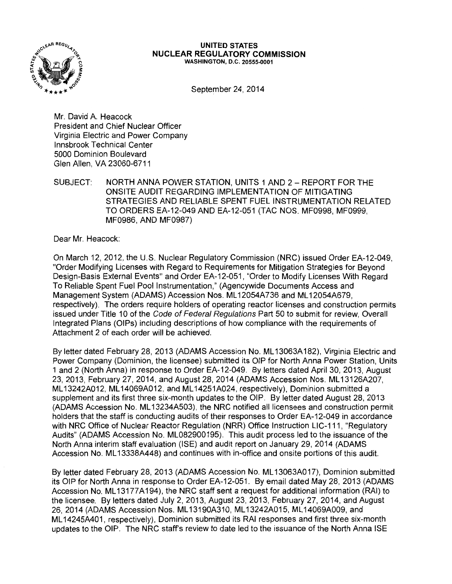

#### **UNITED STATES NUCLEAR REGULATORY COMMISSION**  WASHINGTON, D.C. 20555-0001

September 24, 2014

Mr. David A. Heacock President and Chief Nuclear Officer Virginia Electric and Power Company lnnsbrook Technical Center 5000 Dominion Boulevard Glen Allen, VA 23060-6711

SUBJECT: NORTH ANNA POWER STATION, UNITS 1 AND 2- REPORT FOR THE ONSITE AUDIT REGARDING IMPLEMENTATION OF MITIGATING STRATEGIES AND RELIABLE SPENT FUEL INSTRUMENTATION RELATED TO ORDERS EA-12-049 AND EA-12-051 (TAC NOS. MF0998, MF0999, MF0986, AND MF0987)

Dear Mr. Heacock:

On March 12, 2012, the U.S. Nuclear Regulatory Commission (NRC) issued Order EA-12-049, "Order Modifying Licenses with Regard to Requirements for Mitigation Strategies for Beyond Design-Basis External Events" and Order EA-12-051, "Order to Modify Licenses With Regard To Reliable Spent Fuel Pool Instrumentation," (Agencywide Documents Access and Management System (ADAMS) Accession Nos. ML 12054A736 and ML 12054A679, respectively). The orders require holders of operating reactor licenses and construction permits issued under Title 10 of the Code of Federal Regulations Part 50 to submit for review, Overall Integrated Plans (OIPs) including descriptions of how compliance with the requirements of Attachment 2 of each order will be achieved.

By letter dated February 28, 2013 (ADAMS Accession No. ML 13063A182), Virginia Electric and Power Company (Dominion, the licensee) submitted its OIP for North Anna Power Station, Units 1 and 2 (North Anna) in response to Order EA-12-049. By letters dated April 30, 2013, August 23, 2013, February 27, 2014, and August 28, 2014 (ADAMS Accession Nos. ML13126A207, ML 13242A012, ML 14069A012, and ML 14251A024, respectively), Dominion submitted a supplement and its first three six-month updates to the OIP. By letter dated August 28, 2013 (ADAMS Accession No. ML 13234A503), the NRC notified all licensees and construction permit holders that the staff is conducting audits of their responses to Order EA-12-049 in accordance with NRC Office of Nuclear Reactor Regulation (NRR) Office Instruction LIC-111, "Regulatory Audits" (ADAMS Accession No. ML082900195). This audit process led to the issuance of the North Anna interim staff evaluation (ISE) and audit report on January 29, 2014 (ADAMS Accession No. ML 13338A448) and continues with in-office and onsite portions of this audit.

By letter dated February 28, 2013 (ADAMS Accession No. ML 13063A017), Dominion submitted its OIP for North Anna in response to Order EA-12-051. By email dated May 28, 2013 (ADAMS Accession No. ML 13177 A 194), the NRC staff sent a request for additional information (RAI) to the licensee. By letters dated July 2, 2013, August 23, 2013, February 27, 2014, and August 26, 2014 (ADAMS Accession Nos. ML 13190A310, ML 13242A015, ML 14069A009, and ML 14245A401, respectively), Dominion submitted its RAI responses and first three six-month updates to the OIP. The NRC staff's review to date led to the issuance of the North Anna ISE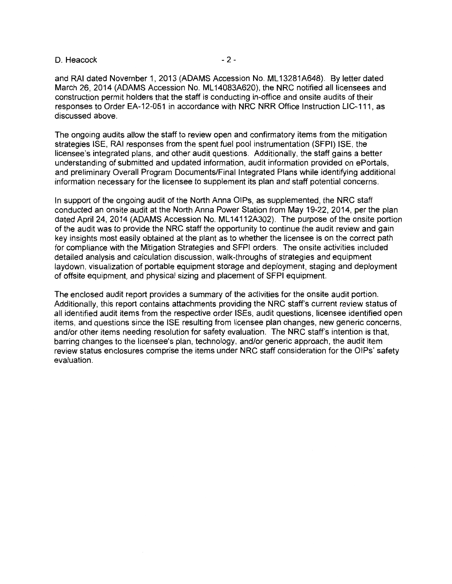### D. Heacock  $-2$ -

and RAI dated November 1, 2013 (ADAMS Accession No. ML 13281A648). By letter dated March 26, 2014 (ADAMS Accession No. **ML** 14083A620), the NRC notified all licensees and construction permit holders that the staff is conducting in-office and on site audits of their responses to Order EA-12-051 in accordance with NRC NRR Office Instruction LIC-111, as discussed above.

The ongoing audits allow the staff to review open and confirmatory items from the mitigation strategies ISE, RAI responses from the spent fuel pool instrumentation (SFPI) ISE, the licensee's integrated plans, and other audit questions. Additionally, the staff gains a better understanding of submitted and updated information, audit information provided on ePortals, and preliminary Overall Program Documents/Final Integrated Plans while identifying additional information necessary for the licensee to supplement its plan and staff potential concerns.

In support of the ongoing audit of the North Anna OIPs, as supplemented, the NRC staff conducted an onsite audit at the North Anna Power Station from May 19-22, 2014, per the plan dated April 24, 2014 (ADAMS Accession No. ML14112A302). The purpose of the onsite portion of the audit was to provide the NRC staff the opportunity to continue the audit review and gain key insights most easily obtained at the plant as to whether the licensee is on the correct path for compliance with the Mitigation Strategies and SFPI orders. The onsite activities included detailed analysis and calculation discussion, walk-throughs of strategies and equipment laydown, visualization of portable equipment storage and deployment, staging and deployment of offsite equipment, and physical sizing and placement of SFPI equipment.

The enclosed audit report provides a summary of the activities for the onsite audit portion. Additionally, this report contains attachments providing the NRC staff's current review status of all identified audit items from the respective order ISEs, audit questions, licensee identified open items, and questions since the ISE resulting from licensee plan changes, new generic concerns, and/or other items needing resolution for safety evaluation. The NRC staff's intention is that, barring changes to the licensee's plan, technology, and/or generic approach, the audit item review status enclosures comprise the items under NRC staff consideration for the OIPs' safety evaluation.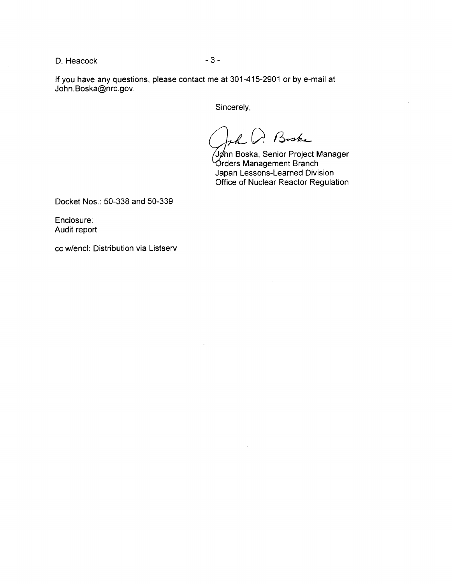D. Heacock and the set of  $\sim$  3 -

If you have any questions, please contact me at 301-415-2901 or by e-mail at John.Boska@nrc.gov.

Sincerely,

Boska

 $\sqrt{g}$ hn Boska, Senior Project Manager  $~\sigma$ rders Management Branch Japan Lessons-Learned Division Office of Nuclear Reactor Regulation

Docket Nos.: 50-338 and 50-339

Enclosure: Audit report

cc w/encl: Distribution via Listserv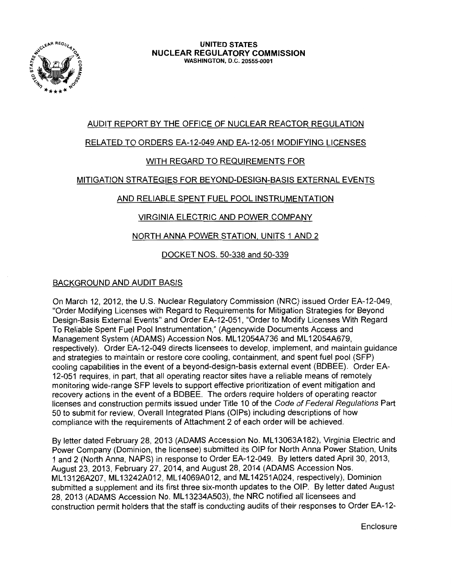

## AUDIT REPORT BY THE OFFICE OF NUCLEAR REACTOR REGULATION

# RELATED TO ORDERS EA-12-049 AND EA-12-051 MODIFYING LICENSES

# WITH REGARD TO REQUIREMENTS FOR

## MITIGATION STRATEGIES FOR BEYOND-DESIGN-BASIS EXTERNAL EVENTS

# AND RELIABLE SPENT FUEL POOL INSTRUMENTATION

# VIRGINIA ELECTRIC AND POWER COMPANY

# NORTH ANNA POWER STATION. UNITS 1 AND 2

# DOCKET NOS. 50-338 and 50-339

# BACKGROUND AND AUDIT BASIS

On March 12, 2012, the U.S. Nuclear Regulatory Commission (NRC) issued Order EA-12-049, "Order Modifying Licenses with Regard to Requirements for Mitigation Strategies for Beyond Design-Basis External Events" and Order EA-12-051, "Order to Modify Licenses With Regard To Reliable Spent Fuel Pool Instrumentation," (Agencywide Documents Access and Management System (ADAMS) Accession Nos. ML 12054A736 and ML 12054A679, respectively). Order EA-12-049 directs licensees to develop, implement, and maintain guidance and strategies to maintain or restore core cooling, containment, and spent fuel pool (SFP) cooling capabilities in the event of a beyond-design-basis external event (BDBEE). Order EA-12-051 requires, in part, that all operating reactor sites have a reliable means of remotely monitoring wide-range SFP levels to support effective prioritization of event mitigation and recovery actions in the event of a BDBEE. The orders require holders of operating reactor licenses and construction permits issued under Title 10 of the Code of Federal Regulations Part 50 to submit for review, Overall Integrated Plans (OIPs) including descriptions of how compliance with the requirements of Attachment 2 of each order will be achieved.

By letter dated February 28, 2013 (ADAMS Accession No. ML 13063A 182), Virginia Electric and Power Company (Dominion, the licensee) submitted its OIP for North Anna Power Station, Units 1 and 2 (North Anna, NAPS) in response to Order EA-12-049. By letters dated April 30, 2013, August 23, 2013, February 27, 2014, and August 28, 2014 (ADAMS Accession Nos. ML 13126A207, ML 13242A012, ML 14069A012, and ML 14251A024, respectively), Dominion submitted a supplement and its first three six-month updates to the OIP. By letter dated August 28, 2013 (ADAMS Accession No. ML 13234A503), the NRC notified all licensees and construction permit holders that the staff is conducting audits of their responses to Order EA-12-

**Enclosure**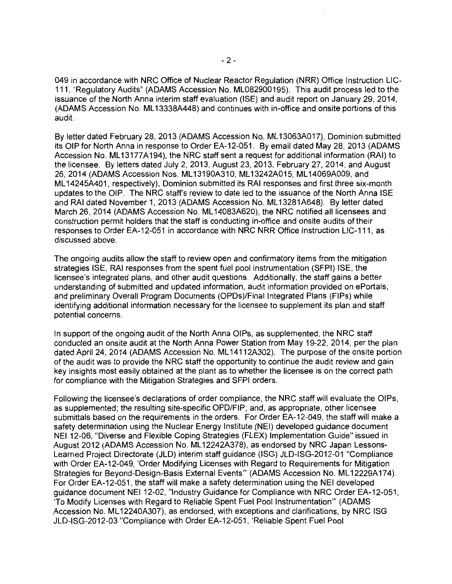049 in accordance with NRC Office of Nuclear Reactor Regulation (NRR) Office Instruction LIC-111, "Regulatory Audits" (ADAMS Accession No. ML082900195). This audit process led to the issuance of the North Anna interim staff evaluation (ISE) and audit report on January 29, 2014, (ADAMS Accession No. ML 13338A448) and continues with in-office and onsite portions of this audit.

By letter dated February 28, 2013 (ADAMS Accession No. ML 13063A017), Dominion submitted its OIP for North Anna in response to Order EA-12-051. By email dated May 28, 2013 (ADAMS Accession No. ML 13177A194), the NRC staff sent a request for additional information (RAI) to the licensee. By letters dated July 2, 2013, August 23, 2013, February 27, 2014, and August 26, 2014 (ADAMS Accession Nos. ML 13190A310, ML 13242A015, ML 14069A009, and ML 14245A401, respectively), Dominion submitted its RAI responses and first three six-month updates to the OIP. The NRC staff's review to date led to the issuance of the North Anna ISE and RAI dated November 1, 2013 (ADAMS Accession No. ML 13281A648). By letter dated March 26, 2014 (ADAMS Accession No. ML 14083A620), the NRC notified all licensees and construction permit holders that the staff is conducting in-office and onsite audits of their responses to Order EA-12-051 in accordance with NRC NRR Office Instruction LIC-111, as discussed above.

The ongoing audits allow the staff to review open and confirmatory items from the mitigation strategies ISE, RAI responses from the spent fuel pool instrumentation (SFPI) ISE, the licensee's integrated plans, and other audit questions. Additionally, the staff gains a better understanding of submitted and updated information, audit information provided on ePortals, and preliminary Overall Program Documents (OPDs)/Final Integrated Plans (FIPs) while identifying additional information necessary for the licensee to supplement its plan and staff potential concerns.

In support of the ongoing audit of the North Anna OIPs, as supplemented, the NRC staff conducted an onsite audit at the North Anna Power Station from May 19-22, 2014, per the plan dated April 24, 2014 (ADAMS Accession No. ML 14112A302). The purpose of the onsite portion of the audit was to provide the NRC staff the opportunity to continue the audit review and gain key insights most easily obtained at the plant as to whether the licensee is on the correct path for compliance with the Mitigation Strategies and SFPI orders.

Following the licensee's declarations of order compliance, the NRC staff will evaluate the OIPs, as supplemented; the resulting site-specific OPD/FIP; and, as appropriate, other licensee submittals based on the requirements in the orders. For Order EA-12-049, the staff will make a safety determination using the Nuclear Energy Institute (NEI) developed guidance document NEI 12-06, "Diverse and Flexible Coping Strategies (FLEX) Implementation Guide" issued in August 2012 (ADAMS Accession No. ML 12242A378), as endorsed by NRC Japan Lessons-Learned Project Directorate (JLD) interim staff guidance (ISG) JLD-ISG-2012-01 "Compliance with Order EA-12-049, 'Order Modifying Licenses with Regard to Requirements for Mitigation Strategies for Beyond-Design-Basis External Events" (ADAMS Accession No. ML12229A174). For Order EA-12-051, the staff will make a safety determination using the NEI developed guidance document NEI 12-02, "Industry Guidance for Compliance with NRC Order EA-12-051, 'To Modify Licenses with Regard to Reliable Spent Fuel Pool Instrumentation"' (ADAMS Accession No. ML 12240A307), as endorsed, with exceptions and clarifications, by NRC ISG JLD-ISG-2012-03 "Compliance with Order EA-12-051, 'Reliable Spent Fuel Pool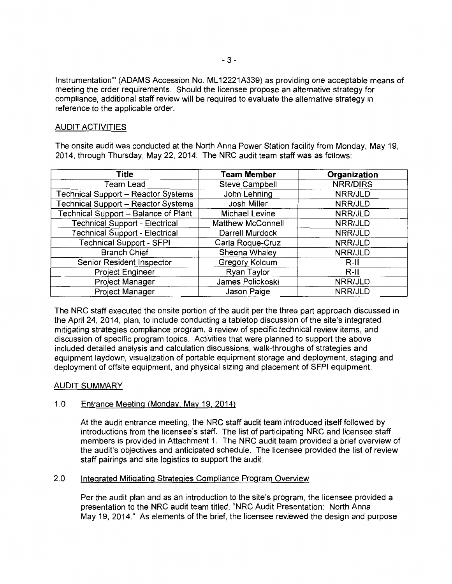Instrumentation"' (ADAMS Accession No. ML 12221A339) as providing one acceptable means of meeting the order requirements. Should the licensee propose an alternative strategy for compliance, additional staff review will be required to evaluate the alternative strategy in reference to the applicable order.

## AUDIT ACTIVITIES

The onsite audit was conducted at the North Anna Power Station facility from Monday, May 19, 2014, through Thursday, May 22, 2014. The NRC audit team staff was as follows:

| <b>Title</b>                               | <b>Team Member</b>       | Organization    |
|--------------------------------------------|--------------------------|-----------------|
| Team Lead                                  | <b>Steve Campbell</b>    | <b>NRR/DIRS</b> |
| <b>Technical Support - Reactor Systems</b> | John Lehning             | NRR/JLD         |
| <b>Technical Support - Reactor Systems</b> | Josh Miller              | NRR/JLD         |
| Technical Support - Balance of Plant       | <b>Michael Levine</b>    | NRR/JLD         |
| <b>Technical Support - Electrical</b>      | <b>Matthew McConnell</b> | NRR/JLD         |
| <b>Technical Support - Electrical</b>      | Darrell Murdock          | NRR/JLD         |
| <b>Technical Support - SFPI</b>            | Carla Roque-Cruz         | NRR/JLD         |
| <b>Branch Chief</b>                        | Sheena Whaley            | NRR/JLD         |
| Senior Resident Inspector                  | Gregory Kolcum           | $R-II$          |
| Project Engineer                           | Ryan Taylor              | $R-II$          |
| Project Manager                            | James Polickoski         | NRR/JLD         |
| Project Manager                            | Jason Paige              | NRR/JLD         |

The NRC staff executed the onsite portion of the audit per the three part approach discussed in the April 24, 2014, plan, to include conducting a tabletop discussion of the site's integrated mitigating strategies compliance program, a review of specific technical review items, and discussion of specific program topics. Activities that were planned to support the above included detailed analysis and calculation discussions, walk-throughs of strategies and equipment laydown, visualization of portable equipment storage and deployment, staging and deployment of offsite equipment, and physical sizing and placement of SFPI equipment.

### AUDIT SUMMARY

### 1.0 Entrance Meeting (Monday, May 19, 2014)

At the audit entrance meeting, the NRC staff audit team introduced itself followed by introductions from the licensee's staff. The list of participating NRC and licensee staff members is provided in Attachment 1. The NRC audit team provided a brief overview of the audit's objectives and anticipated schedule. The licensee provided the list of review staff pairings and site logistics to support the audit.

### 2.0 Integrated Mitigating Strategies Compliance Program Overview

Per the audit plan and as an introduction to the site's program, the licensee provided a presentation to the NRC audit team titled, "NRC Audit Presentation: North Anna May 19, 2014." As elements of the brief, the licensee reviewed the design and purpose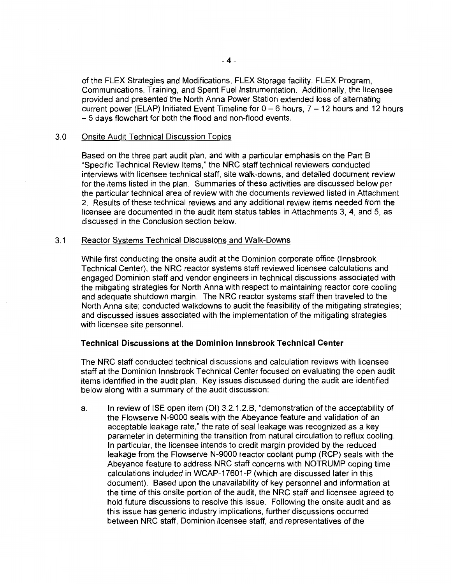of the FLEX Strategies and Modifications, FLEX Storage facility, FLEX Program, Communications, Training, and Spent Fuel Instrumentation. Additionally, the licensee provided and presented the North Anna Power Station extended loss of alternating current power (ELAP) Initiated Event Timeline for  $0 - 6$  hours,  $7 - 12$  hours and 12 hours - 5 days flowchart for both the flood and non-flood events.

### 3.0 Onsite Audit Technical Discussion Topics

Based on the three part audit plan, and with a particular emphasis on the Part B "Specific Technical Review Items," the NRC staff technical reviewers conducted interviews with licensee technical staff, site walk-downs, and detailed document review for the items listed in the plan. Summaries of these activities are discussed below per the particular technical area of review with the documents reviewed listed in Attachment 2. Results of these technical reviews and any additional review items needed from the licensee are documented in the audit item status tables in Attachments 3, 4, and 5, as discussed in the Conclusion section below.

#### 3.1 Reactor Systems Technical Discussions and Walk-Downs

While first conducting the onsite audit at the Dominion corporate office (lnnsbrook Technical Center), the NRC reactor systems staff reviewed licensee calculations and engaged Dominion staff and vendor engineers in technical discussions associated with the mitigating strategies for North Anna with respect to maintaining reactor core cooling and adequate shutdown margin. The NRC reactor systems staff then traveled to the North Anna site; conducted walkdowns to audit the feasibility of the mitigating strategies; and discussed issues associated with the implementation of the mitigating strategies with licensee site personnel.

### **Technical Discussions at the Dominion lnnsbrook Technical Center**

The NRC staff conducted technical discussions and calculation reviews with licensee staff at the Dominion lnnsbrook Technical Center focused on evaluating the open audit items identified in the audit plan. Key issues discussed during the audit are identified below along with a summary of the audit discussion:

a. In review of ISE open item (01) 3.2.1.2.B, "demonstration of the acceptability of the Flowserve N-9000 seals with the Abeyance feature and validation of an acceptable leakage rate," the rate of seal leakage was recognized as a key parameter in determining the transition from natural circulation to reflux cooling. In particular, the licensee intends to credit margin provided by the reduced leakage from the Flowserve N-9000 reactor coolant pump (RCP) seals with the Abeyance feature to address NRC staff concerns with NOTRUMP coping time calculations included in WCAP-17601-P (which are discussed later in this document). Based upon the unavailability of key personnel and information at the time of this onsite portion of the audit, the NRC staff and licensee agreed to hold future discussions to resolve this issue. Following the onsite audit and as this issue has generic industry implications, further discussions occurred between NRC staff, Dominion licensee staff, and representatives of the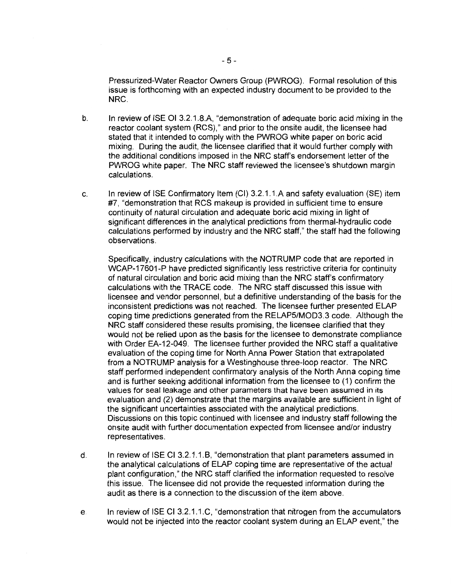Pressurized-Water Reactor Owners Group (PWROG). Formal resolution of this issue is forthcoming with an expected industry document to be provided to the NRC.

- b. In review of ISE 01 3.2.1.8.A, "demonstration of adequate boric acid mixing in the reactor coolant system (RCS)," and prior to the onsite audit, the licensee had stated that it intended to comply with the PWROG white paper on boric acid mixing. During the audit, the licensee clarified that it would further comply with the additional conditions imposed in the NRC staffs endorsement letter of the PWROG white paper. The NRC staff reviewed the licensee's shutdown margin calculations.
- c. In review of ISE Confirmatory Item (CI) 3.2.1.1.A and safety evaluation (SE) item #7, "demonstration that RCS makeup is provided in sufficient time to ensure continuity of natural circulation and adequate boric acid mixing in light of significant differences in the analytical predictions from thermal-hydraulic code calculations performed by industry and the NRC staff," the staff had the following observations.

Specifically, industry calculations with the NOTRUMP code that are reported in WCAP-17601-P have predicted significantly less restrictive criteria for continuity of natural circulation and boric acid mixing than the NRC staff's confirmatory calculations with the TRACE code. The NRC staff discussed this issue with licensee and vendor personnel, but a definitive understanding of the basis for the inconsistent predictions was not reached. The licensee further presented ELAP coping time predictions generated from the RELAP5/MOD3.3 code. Although the NRC staff considered these results promising, the licensee clarified that they would not be relied upon as the basis for the licensee to demonstrate compliance with Order EA-12-049. The licensee further provided the NRC staff a qualitative evaluation of the coping time for North Anna Power Station that extrapolated from a NOTRUMP analysis for a Westinghouse three-loop reactor. The NRC staff performed independent confirmatory analysis of the North Anna coping time and is further seeking additional information from the licensee to (1) confirm the values for seal leakage and other parameters that have been assumed in its evaluation and (2) demonstrate that the margins available are sufficient in light of the significant uncertainties associated with the analytical predictions. Discussions on this topic continued with licensee and industry staff following the onsite audit with further documentation expected from licensee and/or industry representatives.

- d. In review of ISE Cl 3.2.1.1.8, "demonstration that plant parameters assumed in the analytical calculations of ELAP coping time are representative of the actual plant configuration," the NRC staff clarified the information requested to resolve this issue. The licensee did not provide the requested information during the audit as there is a connection to the discussion of the item above.
- e. In review of ISE Cl 3.2.1.1.C, "demonstration that nitrogen from the accumulators would not be injected into the reactor coolant system during an ELAP event," the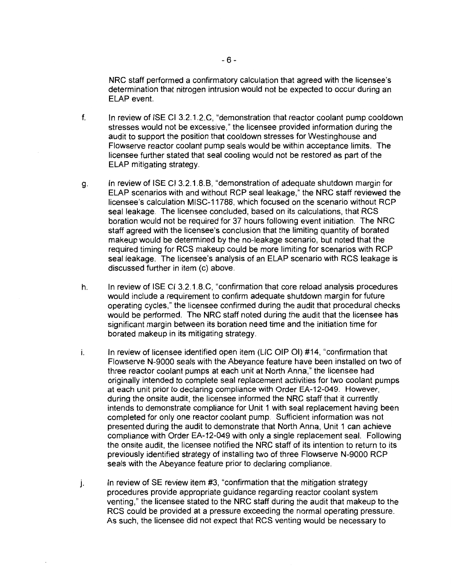NRC staff performed a confirmatory calculation that agreed with the licensee's determination that nitrogen intrusion would not be expected to occur during an ELAP event.

- f. In review of ISE Cl 3.2.1.2.C, "demonstration that reactor coolant pump cooldown stresses would not be excessive," the licensee provided information during the audit to support the position that cooldown stresses for Westinghouse and Flowserve reactor coolant pump seals would be within acceptance limits. The licensee further stated that seal cooling would not be restored as part of the ELAP mitigating strategy.
- g. In review of ISE Cl 3.2.1.8.8, "demonstration of adequate shutdown margin for ELAP scenarios with and without RCP seal leakage," the NRC staff reviewed the licensee's calculation MISC-11788, which focused on the scenario without RCP seal leakage. The licensee concluded, based on its calculations, that RCS boration would not be required for 37 hours following event initiation. The NRC staff agreed with the licensee's conclusion that the limiting quantity of borated makeup would be determined by the no-leakage scenario, but noted that the required timing for RCS makeup could be more limiting for scenarios with RCP seal leakage. The licensee's analysis of an ELAP scenario with RCS leakage is discussed further in item (c) above.
- h. In review of ISE Cl 3.2.1.8.C, "confirmation that core reload analysis procedures would include a requirement to confirm adequate shutdown margin for future operating cycles," the licensee confirmed during the audit that procedural checks would be performed. The NRC staff noted during the audit that the licensee has significant margin between its boration need time and the initiation time for borated makeup in its mitigating strategy.
- i. In review of licensee identified open item (LIC OIP 01) #14, "confirmation that Flowserve N-9000 seals with the Abeyance feature have been installed on two of three reactor coolant pumps at each unit at North Anna," the licensee had originally intended to complete seal replacement activities for two coolant pumps at each unit prior to declaring compliance with Order EA-12-049. However, during the onsite audit, the licensee informed the NRC staff that it currently intends to demonstrate compliance for Unit 1 with seal replacement having been completed for only one reactor coolant pump. Sufficient information was not presented during the audit to demonstrate that North Anna, Unit 1 can achieve compliance with Order EA-12-049 with only a single replacement seal. Following the onsite audit, the licensee notified the NRC staff of its intention to return to its previously identified strategy of installing two of three Flowserve N-9000 RCP seals with the Abeyance feature prior to declaring compliance.
- j. In review of SE review item #3, "confirmation that the mitigation strategy procedures provide appropriate guidance regarding reactor coolant system venting," the licensee stated to the NRC staff during the audit that makeup to the RCS could be provided at a pressure exceeding the normal operating pressure. As such, the licensee did not expect that RCS venting would be necessary to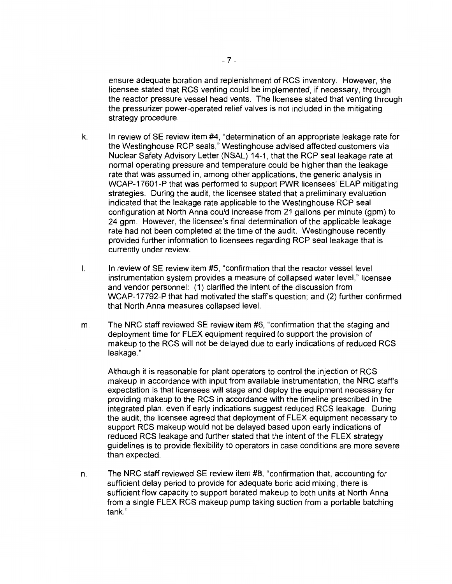ensure adequate boration and replenishment of RCS inventory. However, the licensee stated that RCS venting could be implemented, if necessary, through the reactor pressure vessel head vents. The licensee stated that venting through the pressurizer power-operated relief valves is not included in the mitigating strategy procedure.

- k. In review of SE review item #4, "determination of an appropriate leakage rate for the Westinghouse RCP seals," Westinghouse advised affected customers via Nuclear Safety Advisory Letter (NSAL) 14-1, that the RCP seal leakage rate at normal operating pressure and temperature could be higher than the leakage rate that was assumed in, among other applications, the generic analysis in WCAP-17601-P that was performed to support PWR licensees' ELAP mitigating strategies. During the audit, the licensee stated that a preliminary evaluation indicated that the leakage rate applicable to the Westinghouse RCP seal configuration at North Anna could increase from 21 gallons per minute (gpm) to 24 gpm. However, the licensee's final determination of the applicable leakage rate had not been completed at the time of the audit. Westinghouse recently provided further information to licensees regarding RCP seal leakage that is currently under review.
- I. In review of SE review item #5, "confirmation that the reactor vessel level instrumentation system provides a measure of collapsed water level," licensee and vendor personnel: (1) clarified the intent of the discussion from WCAP-17792-P that had motivated the staff's question; and (2) further confirmed that North Anna measures collapsed level.
- m. The NRC staff reviewed SE review item #6, "confirmation that the staging and deployment time for FLEX equipment required to support the provision of makeup to the RCS will not be delayed due to early indications of reduced RCS leakage."

Although it is reasonable for plant operators to control the injection of RCS makeup in accordance with input from available instrumentation, the NRC staff's expectation is that licensees will stage and deploy the equipment necessary for providing makeup to the RCS in accordance with the timeline prescribed in the integrated plan, even if early indications suggest reduced RCS leakage. During the audit, the licensee agreed that deployment of FLEX equipment necessary to support RCS makeup would not be delayed based upon early indications of reduced RCS leakage and further stated that the intent of the FLEX strategy guidelines is to provide flexibility to operators in case conditions are more severe than expected.

n. The NRC staff reviewed SE review item #8, "confirmation that, accounting for sufficient delay period to provide for adequate boric acid mixing, there is sufficient flow capacity to support borated makeup to both units at North Anna from a single FLEX RCS makeup pump taking suction from a portable batching tank."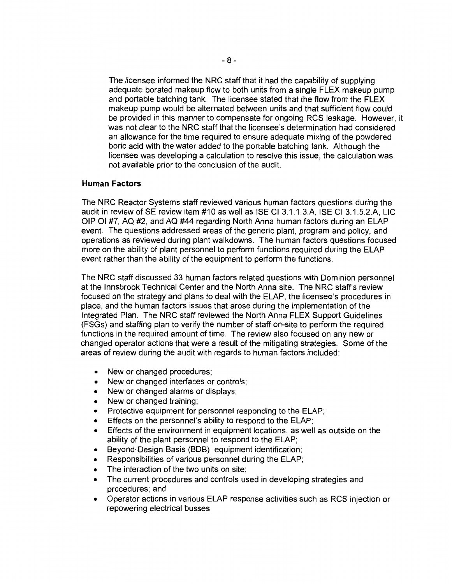The licensee informed the NRC staff that it had the capability of supplying adequate borated makeup flow to both units from a single FLEX makeup pump and portable batching tank. The licensee stated that the flow from the FLEX makeup pump would be alternated between units and that sufficient flow could be provided in this manner to compensate for ongoing RCS leakage. However, it was not clear to the NRC staff that the licensee's determination had considered an allowance for the time required to ensure adequate mixing of the powdered boric acid with the water added to the portable batching tank. Although the licensee was developing a calculation to resolve this issue, the calculation was not available prior to the conclusion of the audit.

### **Human Factors**

The NRC Reactor Systems staff reviewed various human factors questions during the audit in review of SE review item #10 as well as ISE CI 3.1.1.3.A, ISE CI 3.1.5.2.A, LIC OIP 01 #7, AQ #2, and AQ #44 regarding North Anna human factors during an ELAP event. The questions addressed areas of the generic plant, program and policy, and operations as reviewed during plant walkdowns. The human factors questions focused more on the ability of plant personnel to perform functions required during the ELAP event rather than the ability of the equipment to perform the functions.

The NRC staff discussed 33 human factors related questions with Dominion personnel at the lnnsbrook Technical Center and the North Anna site. The NRC staff's review focused on the strategy and plans to deal with the ELAP, the licensee's procedures in place, and the human factors issues that arose during the implementation of the Integrated Plan. The NRC staff reviewed the North Anna FLEX Support Guidelines (FSGs) and staffing plan to verify the number of staff on-site to perform the required functions in the required amount of time. The review also focused on any new or changed operator actions that were a result of the mitigating strategies. Some of the areas of review during the audit with regards to human factors included:

- New or changed procedures;
- New or changed interfaces or controls;
- New or changed alarms or displays;
- New or changed training;
- Protective equipment for personnel responding to the ELAP;
- Effects on the personnel's ability to respond to the ELAP;
- Effects of the environment in equipment locations, as well as outside on the ability of the plant personnel to respond to the ELAP;
- Beyond-Design Basis (BOB) equipment identification;
- Responsibilities of various personnel during the ELAP;
- The interaction of the two units on site;
- The current procedures and controls used in developing strategies and procedures; and
- Operator actions in various ELAP response activities such as RCS injection or repowering electrical busses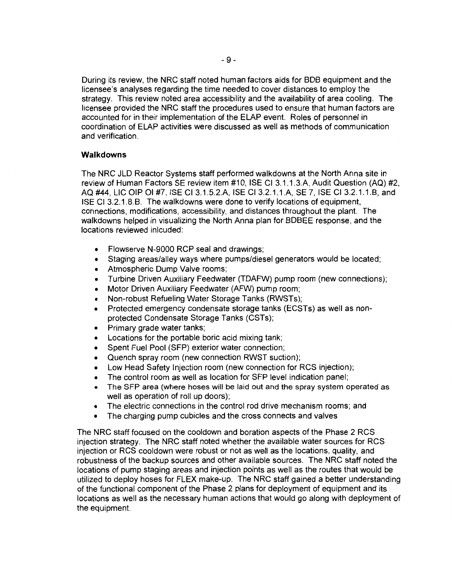During its review, the NRC staff noted human factors aids for BOB equipment and the licensee's analyses regarding the time needed to cover distances to employ the strategy. This review noted area accessibility and the availability of area cooling. The licensee provided the NRC staff the procedures used to ensure that human factors are accounted for in their implementation of the ELAP event. Roles of personnel in coordination of ELAP activities were discussed as well as methods of communication and verification.

## **Walkdowns**

The NRC JLD Reactor Systems staff performed walkdowns at the North Anna site in review of Human Factors SE review item #10, ISE CI 3.1.1.3.A, Audit Question (AQ) #2, AQ #44, LIC OIP 01 #7, ISE Cl 3.1.5.2.A, ISE Cl 3.2.1.1.A, SE 7, ISE Cl 3.2.1.1.B, and ISE Cl 3.2.1.8.B. The walkdowns were done to verify locations of equipment, connections, modifications, accessibility, and distances throughout the plant. The walkdowns helped in visualizing the North Anna plan for BDBEE response, and the locations reviewed inlcuded:

- Flowserve N-9000 RCP seal and drawings;
- Staging areas/alley ways where pumps/diesel generators would be located;
- Atmospheric Dump Valve rooms;
- Turbine Driven Auxiliary Feedwater (TDAFW) pump room (new connections);
- Motor Driven Auxiliary Feedwater (AFW) pump room;
- Non-robust Refueling Water Storage Tanks (RWSTs);
- Protected emergency condensate storage tanks (ECSTs) as well as nonprotected Condensate Storage Tanks (CSTs);
- Primary grade water tanks;
- Locations for the portable boric acid mixing tank;
- Spent Fuel Pool (SFP) exterior water connection;
- Quench spray room (new connection RWST suction);
- Low Head Safety Injection room (new connection for RCS injection);
- The control room as well as location for SFP level indication panel;
- The SFP area (where hoses will be laid out and the spray system operated as well as operation of roll up doors);
- The electric connections in the control rod drive mechanism rooms; and
- The charging pump cubicles and the cross connects and valves

The NRC staff focused on the cooldown and boration aspects of the Phase 2 RCS injection strategy. The NRC staff noted whether the available water sources for RCS injection or RCS cooldown were robust or not as well as the locations, quality, and robustness of the backup sources and other available sources. The NRC staff noted the locations of pump staging areas and injection points as well as the routes that would be utilized to deploy hoses for FLEX make-up. The NRC staff gained a better understanding of the functional component of the Phase 2 plans for deployment of equipment and its locations as well as the necessary human actions that would go along with deployment of the equipment.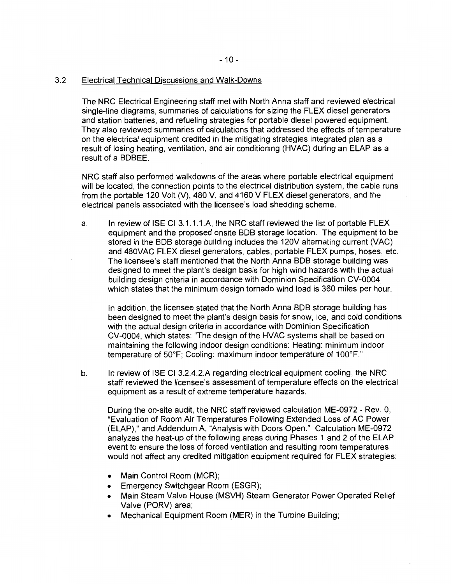### 3.2 Electrical Technical Discussions and Walk-Downs

The NRC Electrical Engineering staff met with North Anna staff and reviewed electrical single-line diagrams, summaries of calculations for sizing the FLEX diesel generators and station batteries, and refueling strategies for portable diesel powered equipment. They also reviewed summaries of calculations that addressed the effects of temperature on the electrical equipment credited in the mitigating strategies integrated plan as a result of losing heating, ventilation, and air conditioning (HVAC) during an ELAP as a result of a BDBEE.

NRC staff also performed walkdowns of the areas where portable electrical equipment will be located, the connection points to the electrical distribution system, the cable runs from the portable 120 Volt (V), 480 V, and 4160 V FLEX diesel generators, and the electrical panels associated with the licensee's load shedding scheme.

a. In review of ISE CI 3.1.1.1.A, the NRC staff reviewed the list of portable FLEX equipment and the proposed onsite BOB storage location. The equipment to be stored in the BOB storage building includes the 120V alternating current (VAC) and 480VAC FLEX diesel generators, cables, portable FLEX pumps, hoses, etc. The licensee's staff mentioned that the North Anna BOB storage building was designed to meet the plant's design basis for high wind hazards with the actual building design criteria in accordance with Dominion Specification CV-0004, which states that the minimum design tornado wind load is 360 miles per hour.

In addition, the licensee stated that the North Anna BOB storage building has been designed to meet the plant's design basis for snow, ice, and cold conditions with the actual design criteria in accordance with Dominion Specification CV-0004, which states: "The design of the HVAC systems shall be based on maintaining the following indoor design conditions: Heating: minimum indoor temperature of 50°F; Cooling: maximum indoor temperature of 100°F."

b. In review of ISE Cl 3.2.4.2.A regarding electrical equipment cooling, the NRC staff reviewed the licensee's assessment of temperature effects on the electrical equipment as a result of extreme temperature hazards.

During the on-site audit, the NRC staff reviewed calculation ME-0972- Rev. 0, "Evaluation of Room Air Temperatures Following Extended Loss of AC Power (ELAP)," and Addendum A, "Analysis with Doors Open." Calculation ME-0972 analyzes the heat-up of the following areas during Phases 1 and 2 of the ELAP event to ensure the loss of forced ventilation and resulting room temperatures would not affect any credited mitigation equipment required for FLEX strategies:

- Main Control Room (MCR);
- Emergency Switchgear Room (ESGR);
- Main Steam Valve House (MSVH) Steam Generator Power Operated Relief Valve (PORV) area;
- Mechanical Equipment Room (MER) in the Turbine Building;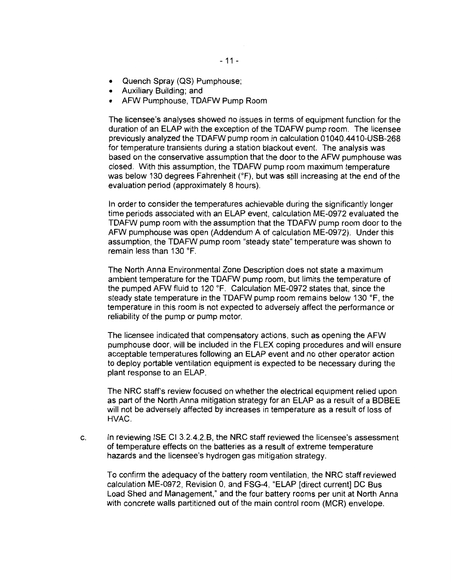- Quench Spray (QS) Pumphouse;
- Auxiliary Building; and
- AFW Pumphouse, TDAFW Pump Room

The licensee's analyses showed no issues in terms of equipment function for the duration of an ELAP with the exception of the TDAFW pump room. The licensee previously analyzed the TDAFW pump room in calculation 01040.4410-USB-268 for temperature transients during a station blackout event. The analysis was based on the conservative assumption that the door to the AFW pumphouse was closed. With this assumption, the TDAFW pump room maximum temperature was below 130 degrees Fahrenheit (°F), but was still increasing at the end of the evaluation period (approximately 8 hours).

In order to consider the temperatures achievable during the significantly longer time periods associated with an ELAP event, calculation ME-0972 evaluated the TDAFW pump room with the assumption that the TDAFW pump room door to the AFW pumphouse was open (Addendum A of calculation ME-0972). Under this assumption, the TDAFW pump room "steady state" temperature was shown to remain less than 130 °F.

The North Anna Environmental Zone Description does not state a maximum ambient temperature for the TDAFW pump room, but limits the temperature of the pumped AFW fluid to 120 °F. Calculation ME-0972 states that, since the steady state temperature in the TDAFW pump room remains below 130 °F, the temperature in this room is not expected to adversely affect the performance or reliability of the pump or pump motor.

The licensee indicated that compensatory actions, such as opening the AFW pumphouse door, will be included in the FLEX coping procedures and will ensure acceptable temperatures following an ELAP event and no other operator action to deploy portable ventilation equipment is expected to be necessary during the plant response to an ELAP.

The NRC staff's review focused on whether the electrical equipment relied upon as part of the North Anna mitigation strategy for an ELAP as a result of a BDBEE will not be adversely affected by increases in temperature as a result of loss of HVAC.

c. In reviewing ISE Cl 3.2.4.2.B, the NRC staff reviewed the licensee's assessment of temperature effects on the batteries as a result of extreme temperature hazards and the licensee's hydrogen gas mitigation strategy.

To confirm the adequacy of the battery room ventilation, the NRC staff reviewed calculation ME-0972, Revision 0, and FSG-4, "ELAP [direct current] DC Bus Load Shed and Management," and the four battery rooms per unit at North Anna with concrete walls partitioned out of the main control room (MCR) envelope.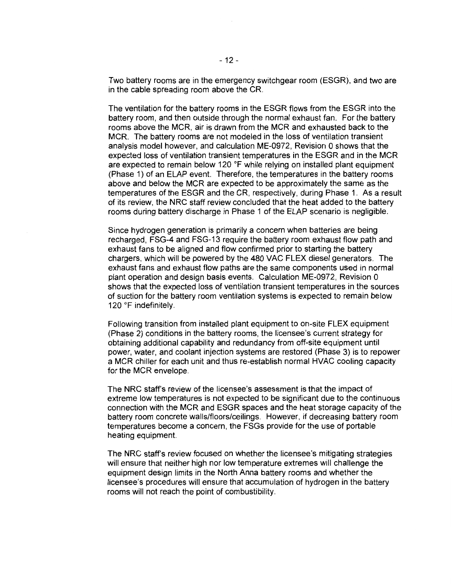Two battery rooms are in the emergency switchgear room (ESGR), and two are in the cable spreading room above the CR.

The ventilation for the battery rooms in the ESGR flows from the ESGR into the battery room, and then outside through the normal exhaust fan. For the battery rooms above the MCR, air is drawn from the MCR and exhausted back to the MCR. The battery rooms are not modeled in the loss of ventilation transient analysis model however, and calculation ME-0972, Revision 0 shows that the expected loss of ventilation transient temperatures in the ESGR and in the MCR are expected to remain below 120  $\degree$ F while relying on installed plant equipment (Phase 1) of an ELAP event. Therefore, the temperatures in the battery rooms above and below the MCR are expected to be approximately the same as the temperatures of the ESGR and the CR, respectively, during Phase 1. As a result of its review, the NRC staff review concluded that the heat added to the battery rooms during battery discharge in Phase 1 of the ELAP scenario is negligible.

Since hydrogen generation is primarily a concern when batteries are being recharged, FSG-4 and FSG-13 require the battery room exhaust flow path and exhaust fans to be aligned and flow confirmed prior to starting the battery chargers, which will be powered by the 480 VAC FLEX diesel generators. The exhaust fans and exhaust flow paths are the same components used in normal plant operation and design basis events. Calculation ME-0972, Revision 0 shows that the expected loss of ventilation transient temperatures in the sources of suction for the battery room ventilation systems is expected to remain below 120 °F indefinitely.

Following transition from installed plant equipment to on-site FLEX equipment (Phase 2) conditions in the battery rooms, the licensee's current strategy for obtaining additional capability and redundancy from off-site equipment until power, water, and coolant injection systems are restored (Phase 3) is to repower a MCR chiller for each unit and thus re-establish normal HVAC cooling capacity for the MCR envelope.

The NRC staff's review of the licensee's assessment is that the impact of extreme low temperatures is not expected to be significant due to the continuous connection with the MCR and ESGR spaces and the heat storage capacity of the battery room concrete walls/floors/ceilings. However, if decreasing battery room temperatures become a concern, the FSGs provide for the use of portable heating equipment.

The NRC staff's review focused on whether the licensee's mitigating strategies will ensure that neither high nor low temperature extremes will challenge the equipment design limits in the North Anna battery rooms and whether the licensee's procedures will ensure that accumulation of hydrogen in the battery rooms will not reach the point of combustibility.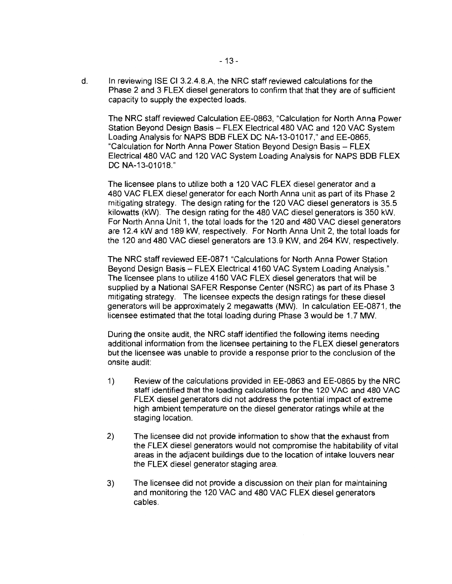d. In reviewing ISE Cl 3.2.4.8.A, the NRC staff reviewed calculations for the Phase 2 and 3 FLEX diesel generators to confirm that that they are of sufficient capacity to supply the expected loads.

The NRC staff reviewed Calculation EE-0863, "Calculation for North Anna Power Station Beyond Design Basis - FLEX Electrical 480 VAC and 120 VAC System Loading Analysis for NAPS BOB FLEX DC NA-13-01017," and EE-0865, "Calculation for North Anna Power Station Beyond Design Basis - FLEX Electrical480 VAC and 120 VAC System Loading Analysis for NAPS BOB FLEX DC NA-13-01018."

The licensee plans to utilize both a 120 VAC FLEX diesel generator and a 480 VAC FLEX diesel generator for each North Anna unit as part of its Phase 2 mitigating strategy. The design rating for the 120 VAC diesel generators is 35.5 kilowatts (kW). The design rating for the 480 VAC diesel generators is 350 kW. For North Anna Unit 1, the total loads for the 120 and 480 VAC diesel generators are 12.4 kW and 189 kW, respectively. For North Anna Unit 2, the total loads for the 120 and 480 VAC diesel generators are 13.9 KW, and 264 KW, respectively.

The NRC staff reviewed EE-0871 "Calculations for North Anna Power Station Beyond Design Basis - FLEX Electrical 4160 VAC System Loading Analysis." The licensee plans to utilize 4160 VAC FLEX diesel generators that will be supplied by a National SAFER Response Center (NSRC) as part of its Phase 3 mitigating strategy. The licensee expects the design ratings for these diesel generators will be approximately 2 megawatts (MW). In calculation EE-0871, the licensee estimated that the total loading during Phase 3 would be 1.7 MW.

During the onsite audit, the NRC staff identified the following items needing additional information from the licensee pertaining to the FLEX diesel generators but the licensee was unable to provide a response prior to the conclusion of the onsite audit:

- 1) Review of the calculations provided in EE-0863 and EE-0865 by the NRC staff identified that the loading calculations for the 120 VAC and 480 VAC FLEX diesel generators did not address the potential impact of extreme high ambient temperature on the diesel generator ratings while at the staging location.
- 2) The licensee did not provide information to show that the exhaust from the FLEX diesel generators would not compromise the habitability of vital areas in the adjacent buildings due to the location of intake louvers near the FLEX diesel generator staging area.
- 3) The licensee did not provide a discussion on their plan for maintaining and monitoring the 120 VAC and 480 VAC FLEX diesel generators cables.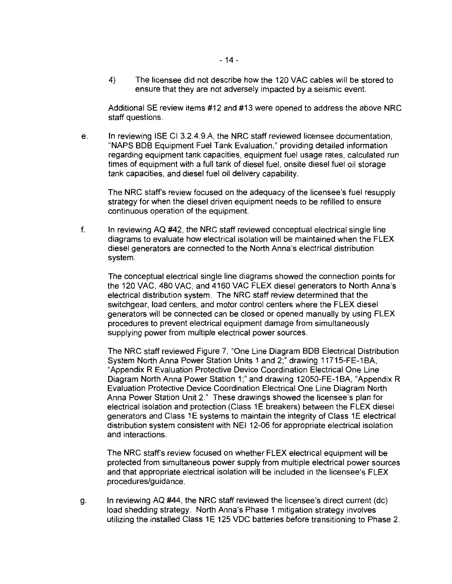4) The licensee did not describe how the 120 VAC cables will be stored to ensure that they are not adversely impacted by a seismic event.

Additional SE review items #12 and #13 were opened to address the above NRC staff questions.

e. In reviewing ISE Cl 3.2.4.9.A, the NRC staff reviewed licensee documentation, "NAPS BOB Equipment Fuel Tank Evaluation," providing detailed information regarding equipment tank capacities, equipment fuel usage rates, calculated run times of equipment with a full tank of diesel fuel, onsite diesel fuel oil storage tank capacities, and diesel fuel oil delivery capability.

The NRC staff's review focused on the adequacy of the licensee's fuel resupply strategy for when the diesel driven equipment needs to be refilled to ensure continuous operation of the equipment.

f. In reviewing AQ #42, the NRC staff reviewed conceptual electrical single line diagrams to evaluate how electrical isolation will be maintained when the FLEX diesel generators are connected to the North Anna's electrical distribution system.

The conceptual electrical single line diagrams showed the connection points for the 120 VAC, 480 VAC, and 4160 VAC FLEX diesel generators to North Anna's electrical distribution system. The NRC staff review determined that the switchgear, load centers, and motor control centers where the FLEX diesel generators will be connected can be closed or opened manually by using FLEX procedures to prevent electrical equipment damage from simultaneously supplying power from multiple electrical power sources.

The NRC staff reviewed Figure 7, "One Line Diagram BOB Electrical Distribution System North Anna Power Station Units 1 and 2;" drawing 11715-FE-1BA, "Appendix R Evaluation Protective Device Coordination Electrical One Line Diagram North Anna Power Station 1;" and drawing 12050-FE-1BA, "Appendix R Evaluation Protective Device Coordination Electrical One Line Diagram North Anna Power Station Unit 2." These drawings showed the licensee's plan for electrical isolation and protection (Class 1E breakers) between the FLEX diesel generators and Class 1E systems to maintain the integrity of Class 1E electrical distribution system consistent with NEI 12-06 for appropriate electrical isolation and interactions.

The NRC staff's review focused on whether FLEX electrical equipment will be protected from simultaneous power supply from multiple electrical power sources and that appropriate electrical isolation will be included in the licensee's FLEX procedures/guidance.

g. In reviewing AQ #44, the NRC staff reviewed the licensee's direct current (dc) load shedding strategy. North Anna's Phase 1 mitigation strategy involves utilizing the installed Class 1E 125 VDC batteries before transitioning to Phase 2.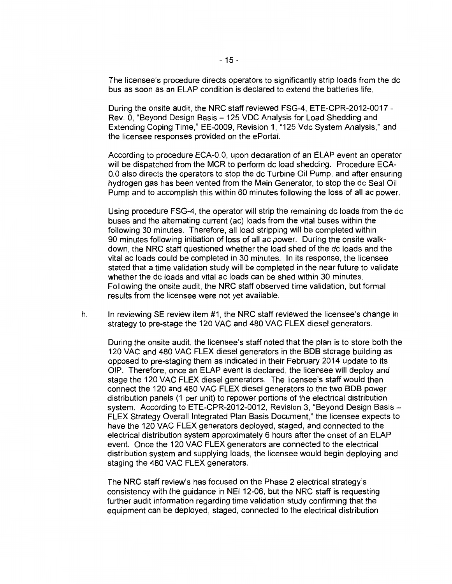The licensee's procedure directs operators to significantly strip loads from the de bus as soon as an ELAP condition is declared to extend the batteries life.

During the onsite audit, the NRC staff reviewed FSG-4, ETE-CPR-2012-0017 - Rev. 0, "Beyond Design Basis- 125 VDC Analysis for Load Shedding and Extending Coping Time," EE-0009, Revision 1, "125 Vdc System Analysis," and the licensee responses provided on the ePortal.

According to procedure ECA-0.0, upon declaration of an ELAP event an operator will be dispatched from the MCR to perform de load shedding. Procedure ECA-0.0 also directs the operators to stop the de Turbine Oil Pump, and after ensuring hydrogen gas has been vented from the Main Generator, to stop the de Seal Oil Pump and to accomplish this within 60 minutes following the loss of all ac power.

Using procedure FSG-4, the operator will strip the remaining de loads from the de buses and the alternating current (ac) loads from the vital buses within the following 30 minutes. Therefore, all load stripping will be completed within 90 minutes following initiation of loss of all ac power. During the onsite walkdown, the NRC staff questioned whether the load shed of the de loads and the vital ac loads could be completed in 30 minutes. In its response, the licensee stated that a time validation study will be completed in the near future to validate whether the de loads and vital ac loads can be shed within 30 minutes. Following the onsite audit, the NRC staff observed time validation, but formal results from the licensee were not yet available.

h. In reviewing SE review item #1, the NRC staff reviewed the licensee's change in strategy to pre-stage the 120 VAC and 480 VAC FLEX diesel generators.

During the onsite audit, the licensee's staff noted that the plan is to store both the 120 VAC and 480 VAC FLEX diesel generators in the BOB storage building as opposed to pre-staging them as indicated in their February 2014 update to its OIP. Therefore, once an ELAP event is declared, the licensee will deploy and stage the 120 VAC FLEX diesel generators. The licensee's staff would then connect the 120 and 480 VAC FLEX diesel generators to the two BDB power distribution panels (1 per unit) to repower portions of the electrical distribution system. According to ETE-CPR-2012-0012, Revision 3, "Beyond Design Basis -FLEX Strategy Overall Integrated Plan Basis Document," the licensee expects to have the 120 VAC FLEX generators deployed, staged, and connected to the electrical distribution system approximately 6 hours after the onset of an ELAP event. Once the 120 VAC FLEX generators are connected to the electrical distribution system and supplying loads, the licensee would begin deploying and staging the 480 VAC FLEX generators.

The NRC staff review's has focused on the Phase 2 electrical strategy's consistency with the guidance in NEI 12-06, but the NRC staff is requesting further audit information regarding time validation study confirming that the equipment can be deployed, staged, connected to the electrical distribution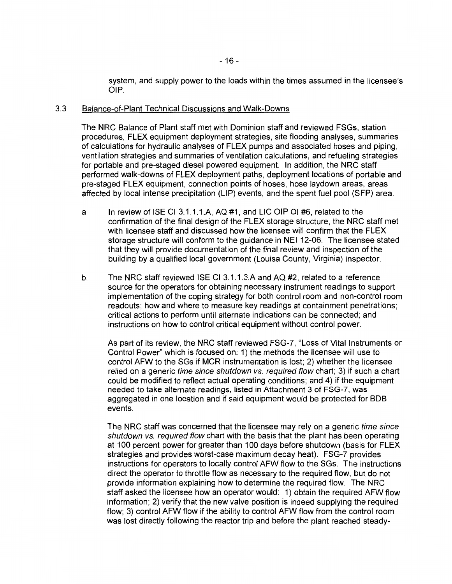system, and supply power to the loads within the times assumed in the licensee's OIP.

#### 3.3 Balance-of-Plant Technical Discussions and Walk-Downs

The NRC Balance of Plant staff met with Dominion staff and reviewed FSGs, station procedures, FLEX equipment deployment strategies, site flooding analyses, summaries of calculations for hydraulic analyses of FLEX pumps and associated hoses and piping, ventilation strategies and summaries of ventilation calculations, and refueling strategies for portable and pre-staged diesel powered equipment. In addition, the NRC staff performed walk-downs of FLEX deployment paths, deployment locations of portable and pre-staged FLEX equipment, connection points of hoses, hose laydown areas, areas affected by local intense precipitation (LIP) events, and the spent fuel pool (SFP) area.

- a. In review of ISE Cl 3.1.1.1.A, AQ #1, and LIC OIP 01 #6, related to the confirmation of the final design of the FLEX storage structure, the NRC staff met with licensee staff and discussed how the licensee will confirm that the FLEX storage structure will conform to the guidance in NEI 12-06. The licensee stated that they will provide documentation of the final review and inspection of the building by a qualified local government (Louisa County, Virginia) inspector.
- b. The NRC staff reviewed ISE Cl 3.1.1.3.A and AQ #2, related to a reference source for the operators for obtaining necessary instrument readings to support implementation of the coping strategy for both control room and non-control room readouts; how and where to measure key readings at containment penetrations; critical actions to perform until alternate indications can be connected; and instructions on how to control critical equipment without control power.

As part of its review, the NRC staff reviewed FSG-7, "Loss of Vital Instruments or Control Power" which is focused on: 1) the methods the licensee will use to control AFW to the SGs if MCR instrumentation is lost; 2) whether the licensee relied on a generic time since shutdown vs. required flow chart; 3) if such a chart could be modified to reflect actual operating conditions; and 4) if the equipment needed to take alternate readings, listed in Attachment 3 of FSG-7, was aggregated in one location and if said equipment would be protected for BOB events.

The NRC staff was concerned that the licensee may rely on a generic time since shutdown vs. required flow chart with the basis that the plant has been operating at 100 percent power for greater than 100 days before shutdown (basis for FLEX strategies and provides worst-case maximum decay heat). FSG-7 provides instructions for operators to locally control AFW flow to the SGs. The instructions direct the operator to throttle flow as necessary to the required flow, but do not provide information explaining how to determine the required flow. The NRC staff asked the licensee how an operator would: 1) obtain the required AFW flow information; 2) verify that the new valve position is indeed supplying the required flow; 3) control AFW flow if the ability to control AFW flow from the control room was lost directly following the reactor trip and before the plant reached steady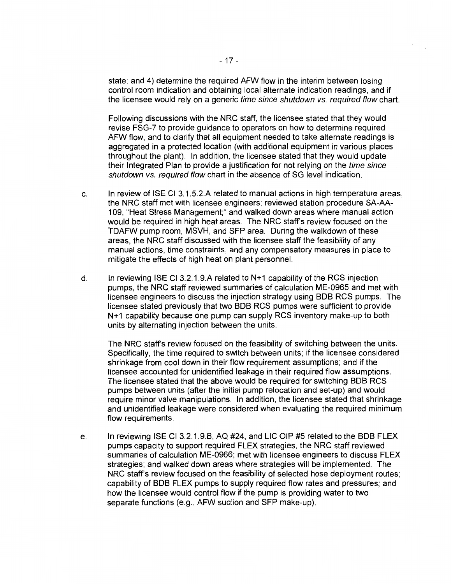state; and 4) determine the required AFW flow in the interim between losing control room indication and obtaining local alternate indication readings, and if the licensee would rely on a generic time since shutdown vs. required flow chart.

Following discussions with the NRC staff, the licensee stated that they would revise FSG-7 to provide guidance to operators on how to determine required AFW flow, and to clarify that all equipment needed to take alternate readings is aggregated in a protected location (with additional equipment in various places throughout the plant). In addition, the licensee stated that they would update their Integrated Plan to provide a justification for not relying on the time since shutdown vs. required flow chart in the absence of SG level indication.

- c. In review of ISE Cl 3.1.5.2.A related to manual actions in high temperature areas, the NRC staff met with licensee engineers; reviewed station procedure SA-AA-1 09, "Heat Stress Management;" and walked down areas where manual action would be required in high heat areas. The NRC staff's review focused on the TDAFW pump room, MSVH, and SFP area. During the walkdown of these areas, the NRC staff discussed with the licensee staff the feasibility of any manual actions, time constraints, and any compensatory measures in place to mitigate the effects of high heat on plant personnel.
- d. In reviewing ISE Cl 3.2.1.9.A related to N+1 capability of the RCS injection pumps, the NRC staff reviewed summaries of calculation ME-0965 and met with licensee engineers to discuss the injection strategy using BOB RCS pumps. The licensee stated previously that two BOB RCS pumps were sufficient to provide N+1 capability because one pump can supply RCS inventory make-up to both units by alternating injection between the units.

The NRC staff's review focused on the feasibility of switching between the units. Specifically, the time required to switch between units; if the licensee considered shrinkage from cool down in their flow requirement assumptions; and if the licensee accounted for unidentified leakage in their required flow assumptions. The licensee stated that the above would be required for switching BOB RCS pumps between units (after the initial pump relocation and set-up) and would require minor valve manipulations. In addition, the licensee stated that shrinkage and unidentified leakage were considered when evaluating the required minimum flow requirements.

e. In reviewing ISE Cl 3.2.1.9.B, AQ #24, and LIC OIP #5 related to the BOB FLEX pumps capacity to support required FLEX strategies, the NRC staff reviewed summaries of calculation ME-0966; met with licensee engineers to discuss FLEX strategies; and walked down areas where strategies will be implemented. The NRC staff's review focused on the feasibility of selected hose deployment routes; capability of BOB FLEX pumps to supply required flow rates and pressures; and how the licensee would control flow if the pump is providing water to two separate functions (e.g., AFW suction and SFP make-up).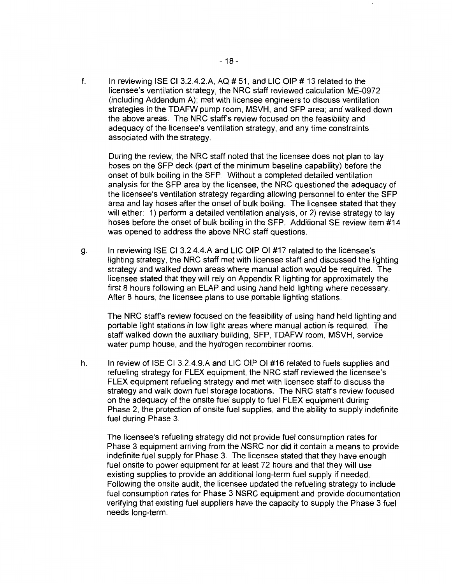f. In reviewing ISE CI 3.2.4.2.A,  $AQ \# 51$ , and LIC OIP  $\# 13$  related to the licensee's ventilation strategy, the NRC staff reviewed calculation ME-0972 (including Addendum A); met with licensee engineers to discuss ventilation strategies in the TDAFW pump room, MSVH, and SFP area; and walked down the above areas. The NRC staff's review focused on the feasibility and adequacy of the licensee's ventilation strategy, and any time constraints associated with the strategy.

During the review, the NRC staff noted that the licensee does not plan to lay hoses on the SFP deck (part of the minimum baseline capability) before the onset of bulk boiling in the SFP. Without a completed detailed ventilation analysis for the SFP area by the licensee, the NRC questioned the adequacy of the licensee's ventilation strategy regarding allowing personnel to enter the SFP area and lay hoses after the onset of bulk boiling. The licensee stated that they will either: 1) perform a detailed ventilation analysis, or 2) revise strategy to lay hoses before the onset of bulk boiling in the SFP. Additional SE review item #14 was opened to address the above NRC staff questions.

g. In reviewing ISE Cl 3.2.4.4.A and LIC OIP 01 #17 related to the licensee's lighting strategy, the NRC staff met with licensee staff and discussed the lighting strategy and walked down areas where manual action would be required. The licensee stated that they will rely on Appendix R lighting for approximately the first 8 hours following an ELAP and using hand held lighting where necessary. After 8 hours, the licensee plans to use portable lighting stations.

The NRC staff's review focused on the feasibility of using hand held lighting and portable light stations in low light areas where manual action is required. The staff walked down the auxiliary building, SFP, TDAFW room, MSVH, service water pump house, and the hydrogen recombiner rooms.

h. In review of ISE Cl 3.2.4.9.A and LIC OIP 01 #16 related to fuels supplies and refueling strategy for FLEX equipment, the NRC staff reviewed the licensee's FLEX equipment refueling strategy and met with licensee staff to discuss the strategy and walk down fuel storage locations. The NRC staff's review focused on the adequacy of the onsite fuel supply to fuel FLEX equipment during Phase 2, the protection of onsite fuel supplies, and the ability to supply indefinite fuel during Phase 3.

The licensee's refueling strategy did not provide fuel consumption rates for Phase 3 equipment arriving from the NSRC nor did it contain a means to provide indefinite fuel supply for Phase 3. The licensee stated that they have enough fuel onsite to power equipment for at least 72 hours and that they will use existing supplies to provide an additional long-term fuel supply if needed. Following the onsite audit, the licensee updated the refueling strategy to include fuel consumption rates for Phase 3 NSRC equipment and provide documentation verifying that existing fuel suppliers have the capacity to supply the Phase 3 fuel needs long-term.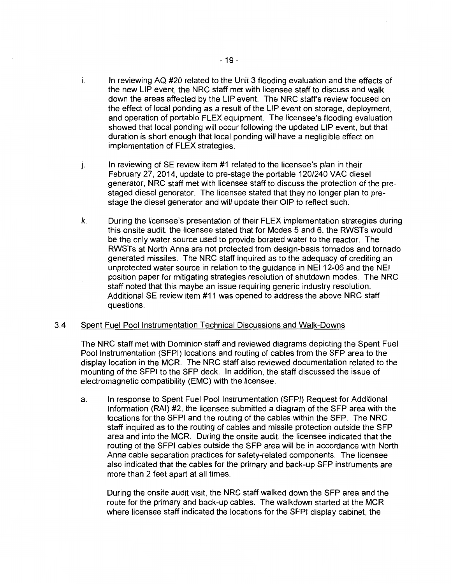- i. In reviewing AQ #20 related to the Unit 3 flooding evaluation and the effects of the new LIP event, the NRC staff met with licensee staff to discuss and walk down the areas affected by the LIP event. The NRC staff's review focused on the effect of local pending as a result of the LIP event on storage, deployment, and operation of portable FLEX equipment. The licensee's flooding evaluation showed that local pending will occur following the updated LIP event, but that duration is short enough that local pending will have a negligible effect on implementation of FLEX strategies.
- j. In reviewing of SE review item #1 related to the licensee's plan in their February 27, 2014, update to pre-stage the portable 120/240 VAC diesel generator, NRC staff met with licensee staff to discuss the protection of the prestaged diesel generator. The licensee stated that they no longer plan to prestage the diesel generator and will update their OIP to reflect such.
- k. During the licensee's presentation of their FLEX implementation strategies during this onsite audit, the licensee stated that for Modes 5 and 6, the RWSTs would be the only water source used to provide borated water to the reactor. The RWSTs at North Anna are not protected from design-basis tornados and tornado generated missiles. The NRC staff inquired as to the adequacy of crediting an unprotected water source in relation to the guidance in NEI 12-06 and the NEI position paper for mitigating strategies resolution of shutdown modes. The NRC staff noted that this maybe an issue requiring generic industry resolution. Additional SE review item #11 was opened to address the above NRC staff questions.

### 3.4 Spent Fuel Pool Instrumentation Technical Discussions and Walk-Downs

The NRC staff met with Dominion staff and reviewed diagrams depicting the Spent Fuel Pool Instrumentation (SFPI) locations and routing of cables from the SFP area to the display location in the MCR. The NRC staff also reviewed documentation related to the mounting of the SFPI to the SFP deck. In addition, the staff discussed the issue of electromagnetic compatibility (EMC) with the licensee.

a. In response to Spent Fuel Pool Instrumentation (SFPI) Request for Additional Information (RAI) #2, the licensee submitted a diagram of the SFP area with the locations for the SFPI and the routing of the cables within the SFP. The NRC staff inquired as to the routing of cables and missile protection outside the SFP area and into the MCR. During the onsite audit, the licensee indicated that the routing of the SFPI cables outside the SFP area will be in accordance with North Anna cable separation practices for safety-related components. The licensee also indicated that the cables for the primary and back-up SFP instruments are more than 2 feet apart at all times.

During the on site audit visit, the NRC staff walked down the SFP area and the route for the primary and back-up cables. The walkdown started at the MCR where licensee staff indicated the locations for the SFPI display cabinet, the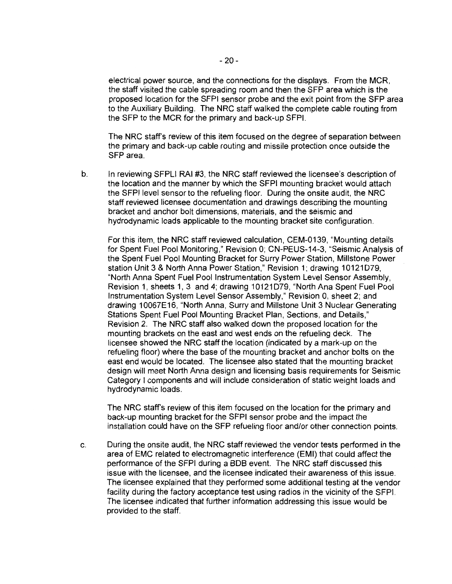electrical power source, and the connections for the displays. From the MCR, the staff visited the cable spreading room and then the SFP area which is the proposed location for the SFPI sensor probe and the exit point from the SFP area to the Auxiliary Building. The NRC staff walked the complete cable routing from the SFP to the MCR for the primary and back-up SFPI.

The NRC staff's review of this item focused on the degree of separation between the primary and back-up cable routing and missile protection once outside the SFP area.

b. In reviewing SFPLI RAI #3, the NRC staff reviewed the licensee's description of the location and the manner by which the SFPI mounting bracket would attach the SFPI level sensor to the refueling floor. During the onsite audit, the NRC staff reviewed licensee documentation and drawings describing the mounting bracket and anchor bolt dimensions, materials, and the seismic and hydrodynamic loads applicable to the mounting bracket site configuration.

For this item, the NRC staff reviewed calculation, CEM-0139, "Mounting details for Spent Fuel Pool Monitoring," Revision 0; CN-PEUS-14-3, "Seismic Analysis of the Spent Fuel Pool Mounting Bracket for Surry Power Station, Millstone Power station Unit 3 & North Anna Power Station," Revision 1; drawing 10121079, "North Anna Spent Fuel Pool Instrumentation System Level Sensor Assembly, Revision 1, sheets 1, 3 and 4; drawing 10121079, "North Ana Spent Fuel Pool Instrumentation System Level Sensor Assembly," Revision 0, sheet 2; and drawing 10067E16, "North Anna, Surry and Millstone Unit 3 Nuclear Generating Stations Spent Fuel Pool Mounting Bracket Plan, Sections, and Details," Revision 2. The NRC staff also walked down the proposed location for the mounting brackets on the east and west ends on the refueling deck. The licensee showed the NRC staff the location (indicated by a mark-up on the refueling floor) where the base of the mounting bracket and anchor bolts on the east end would be located. The licensee also stated that the mounting bracket design will meet North Anna design and licensing basis requirements for Seismic Category I components and will include consideration of static weight loads and hydrodynamic loads.

The NRC staff's review of this item focused on the location for the primary and back-up mounting bracket for the SFPI sensor probe and the impact the installation could have on the SFP refueling floor and/or other connection points.

c. During the onsite audit, the NRC staff reviewed the vendor tests performed in the area of EMC related to electromagnetic interference (EM I) that could affect the performance of the SFPI during a BDB event. The NRC staff discussed this issue with the licensee, and the licensee indicated their awareness of this issue. The licensee explained that they performed some additional testing at the vendor facility during the factory acceptance test using radios in the vicinity of the SFPI. The licensee indicated that further information addressing this issue would be provided to the staff.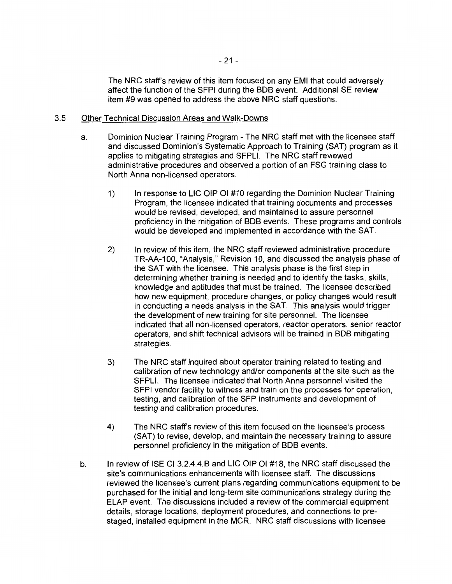The NRC staff's review of this item focused on any EMI that could adversely affect the function of the SFPI during the BDB event. Additional SE review item #9 was opened to address the above NRC staff questions.

### 3.5 Other Technical Discussion Areas and Walk-Downs

- a. Dominion Nuclear Training Program -The NRC staff met with the licensee staff and discussed Dominion's Systematic Approach to Training (SAT) program as it applies to mitigating strategies and SFPLI. The NRC staff reviewed administrative procedures and observed a portion of an FSG training class to North Anna non-licensed operators.
	- 1) In response to LIC OIP OI #10 regarding the Dominion Nuclear Training Program, the licensee indicated that training documents and processes would be revised, developed, and maintained to assure personnel proficiency in the mitigation of BOB events. These programs and controls would be developed and implemented in accordance with the SAT.
	- 2) In review of this item, the NRC staff reviewed administrative procedure TR-AA-100, "Analysis," Revision 10, and discussed the analysis phase of the SAT with the licensee. This analysis phase is the first step in determining whether training is needed and to identify the tasks, skills, knowledge and aptitudes that must be trained. The licensee described how new equipment, procedure changes, or policy changes would result in conducting a needs analysis in the SAT. This analysis would trigger the development of new training for site personnel. The licensee indicated that all non-licensed operators, reactor operators, senior reactor operators, and shift technical advisors will be trained in BOB mitigating strategies.
	- 3) The NRC staff inquired about operator training related to testing and calibration of new technology and/or components at the site such as the SFPLI. The licensee indicated that North Anna personnel visited the SFPI vendor facility to witness and train on the processes for operation, testing, and calibration of the SFP instruments and development of testing and calibration procedures.
	- 4) The NRC staff's review of this item focused on the licensee's process (SAT) to revise, develop, and maintain the necessary training to assure personnel proficiency in the mitigation of BOB events.
- b. In review of ISE Cl 3.2.4.4.B and LIC OIP 01 #18, the NRC staff discussed the site's communications enhancements with licensee staff. The discussions reviewed the licensee's current plans regarding communications equipment to be purchased for the initial and long-term site communications strategy during the ELAP event. The discussions included a review of the commercial equipment details, storage locations, deployment procedures, and connections to prestaged, installed equipment in the MCR. NRC staff discussions with licensee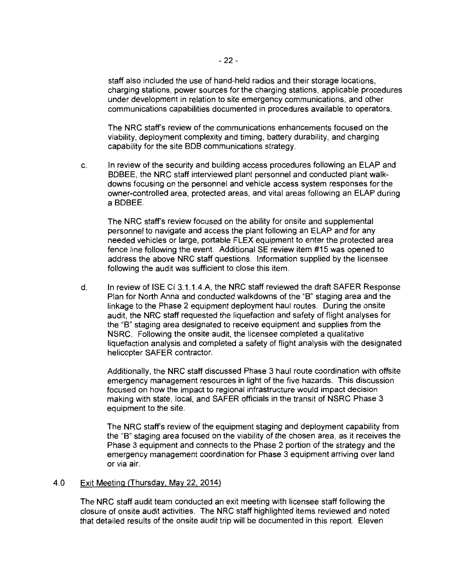staff also included the use of hand-held radios and their storage locations, charging stations, power sources for the charging stations, applicable procedures under development in relation to site emergency communications, and other communications capabilities documented in procedures available to operators.

The NRC staff's review of the communications enhancements focused on the viability, deployment complexity and timing, battery durability, and charging capability for the site BOB communications strategy.

c. In review of the security and building access procedures following an ELAP and BDBEE, the NRC staff interviewed plant personnel and conducted plant walkdowns focusing on the personnel and vehicle access system responses for the owner-controlled area, protected areas, and vital areas following an ELAP during a BDBEE.

The NRC staff's review focused on the ability for onsite and supplemental personnel to navigate and access the plant following an ELAP and for any needed vehicles or large, portable FLEX equipment to enter the protected area fence line following the event. Additional SE review item #15 was opened to address the above NRC staff questions. Information supplied by the licensee following the audit was sufficient to close this item.

d. In review of ISE Cl 3.1.1.4.A, the NRC staff reviewed the draft SAFER Response Plan for North Anna and conducted walkdowns of the "B" staging area and the linkage to the Phase 2 equipment deployment haul routes. During the onsite audit, the NRC staff requested the liquefaction and safety of flight analyses for the "B" staging area designated to receive equipment and supplies from the NSRC. Following the onsite audit, the licensee completed a qualitative liquefaction analysis and completed a safety of flight analysis with the designated helicopter SAFER contractor.

Additionally, the NRC staff discussed Phase 3 haul route coordination with offsite emergency management resources in light of the five hazards. This discussion focused on how the impact to regional infrastructure would impact decision making with state, local, and SAFER officials in the transit of NSRC Phase 3 equipment to the site.

The NRC staff's review of the equipment staging and deployment capability from the "B" staging area focused on the viability of the chosen area, as it receives the Phase 3 equipment and connects to the Phase 2 portion of the strategy and the emergency management coordination for Phase 3 equipment arriving over land or via air.

### 4.0 Exit Meeting (Thursday, May 22. 2014)

The NRC staff audit team conducted an exit meeting with licensee staff following the closure of onsite audit activities. The NRC staff highlighted items reviewed and noted that detailed results of the on site audit trip will be documented in this report. Eleven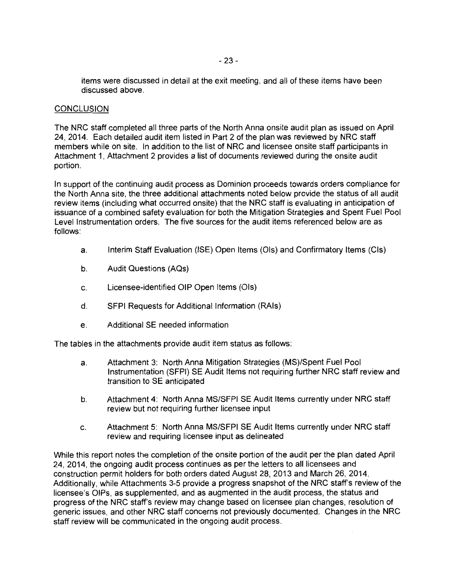items were discussed in detail at the exit meeting, and all of these items have been discussed above.

### **CONCLUSION**

The NRC staff completed all three parts of the North Anna onsite audit plan as issued on April 24, 2014. Each detailed audit item listed in Part 2 of the plan was reviewed by NRC staff members while on site. In addition to the list of NRC and licensee onsite staff participants in Attachment 1, Attachment 2 provides a list of documents reviewed during the onsite audit portion.

In support of the continuing audit process as Dominion proceeds towards orders compliance for the North Anna site, the three additional attachments noted below provide the status of all audit review items (including what occurred onsite) that the NRC staff is evaluating in anticipation of issuance of a combined safety evaluation for both the Mitigation Strategies and Spent Fuel Pool Level Instrumentation orders. The five sources for the audit items referenced below are as follows:

- a. Interim Staff Evaluation (ISE) Open Items (Ois) and Confirmatory Items (Cis)
- b. Audit Questions (AQs)
- c. Licensee-identified OIP Open Items (Ois)
- d. SFPI Requests for Additional Information (RAis)
- e. Additional SE needed information

The tables in the attachments provide audit item status as follows:

- a. Attachment 3: North Anna Mitigation Strategies (MS)/Spent Fuel Pool Instrumentation (SFPI) SE Audit Items not requiring further NRC staff review and transition to SE anticipated
- b. Attachment 4: North Anna MS/SFPI SE Audit Items currently under NRC staff review but not requiring further licensee input
- c. Attachment 5: North Anna MS/SFPI SE Audit Items currently under NRC staff review and requiring licensee input as delineated

While this report notes the completion of the onsite portion of the audit per the plan dated April 24, 2014, the ongoing audit process continues as per the letters to all licensees and construction permit holders for both orders dated August 28, 2013 and March 26, 2014. Additionally, while Attachments 3-5 provide a progress snapshot of the NRC staff's review of the licensee's OIPs, as supplemented, and as augmented in the audit process, the status and progress of the NRC staff's review may change based on licensee plan changes, resolution of generic issues, and other NRC staff concerns not previously documented. Changes in the NRC staff review will be communicated in the ongoing audit process.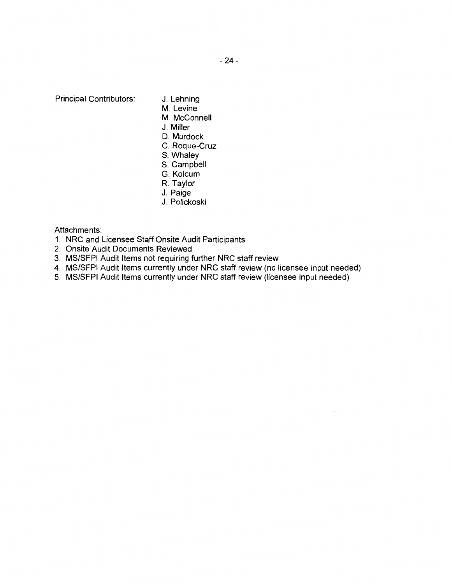Principal Contributors:

- J. Lehning
- M. Levine
- M. McConnell
- J. Miller
- D. Murdock
- C. Roque-Cruz
- S. Whaley
- S. Campbell
- G. Kolcum
- R. Taylor
- J. Paige
- J. Polickoski

Attachments:

- 1. NRC and Licensee Staff Onsite Audit Participants
- 2. Onsite Audit Documents Reviewed
- 3. MS/SFPI Audit Items not requiring further NRC staff review
- 4. MS/SFPI Audit Items currently under NRC staff review (no licensee input needed)
- 5. MS/SFPI Audit Items currently under NRC staff review (licensee input needed)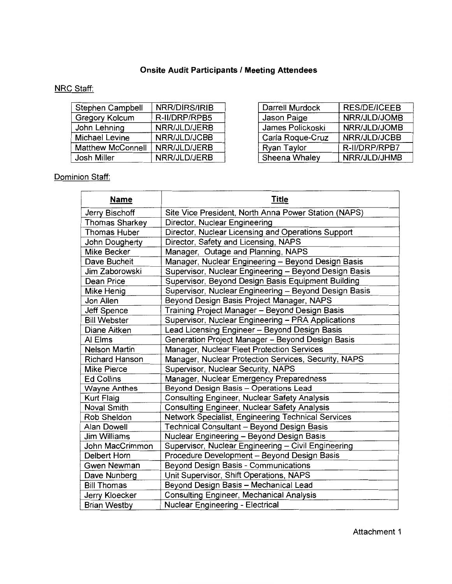## **Onsite Audit Participants I Meeting Attendees**

## NRC Staff:

| Stephen Campbell         | NRR/DIRS/IRIB | Darrell Murdock  | <b>RES/DE/ICEEB</b> |
|--------------------------|---------------|------------------|---------------------|
| <b>Gregory Kolcum</b>    | R-II/DRP/RPB5 | Jason Paige      | NRR/JLD/JOMB        |
| John Lehning             | NRR/JLD/JERB  | James Polickoski | NRR/JLD/JOMB        |
| <b>Michael Levine</b>    | NRR/JLD/JCBB  | Carla Roque-Cruz | NRR/JLD/JCBB        |
| <b>Matthew McConnell</b> | NRR/JLD/JERB  | Ryan Taylor      | R-II/DRP/RPB7       |
| Josh Miller              | NRR/JLD/JERB  | Sheena Whaley    | NRR/JLD/JHMB        |

| Stephen Campbell  | NRR/DIRS/IRIB | Darrell Murdock  | <b>RES/DE/ICEEB</b> |
|-------------------|---------------|------------------|---------------------|
| Gregory Kolcum    | R-II/DRP/RPB5 | Jason Paige      | NRR/JLD/JOMB        |
| John Lehning      | NRR/JLD/JERB  | James Polickoski | NRR/JLD/JOMB        |
| Michael Levine    | NRR/JLD/JCBB  | Carla Roque-Cruz | NRR/JLD/JCBB        |
| Matthew McConnell | NRR/JLD/JERB  | Ryan Taylor      | R-II/DRP/RPB7       |
| Josh Miller       | NRR/JLD/JERB  | Sheena Whaley    | NRR/JLD/JHMB        |

## Dominion Staff:

| <b>Name</b>           | <b>Title</b>                                          |
|-----------------------|-------------------------------------------------------|
| Jerry Bischoff        | Site Vice President, North Anna Power Station (NAPS)  |
| <b>Thomas Sharkey</b> | Director, Nuclear Engineering                         |
| <b>Thomas Huber</b>   | Director, Nuclear Licensing and Operations Support    |
| John Dougherty        | Director, Safety and Licensing, NAPS                  |
| <b>Mike Becker</b>    | Manager, Outage and Planning, NAPS                    |
| Dave Bucheit          | Manager, Nuclear Engineering - Beyond Design Basis    |
| Jim Zaborowski        | Supervisor, Nuclear Engineering - Beyond Design Basis |
| Dean Price            | Supervisor, Beyond Design Basis Equipment Building    |
| Mike Henig            | Supervisor, Nuclear Engineering - Beyond Design Basis |
| Jon Allen             | Beyond Design Basis Project Manager, NAPS             |
| <b>Jeff Spence</b>    | Training Project Manager - Beyond Design Basis        |
| <b>Bill Webster</b>   | Supervisor, Nuclear Engineering - PRA Applications    |
| Diane Aitken          | Lead Licensing Engineer - Beyond Design Basis         |
| AI Elms               | Generation Project Manager - Beyond Design Basis      |
| Nelson Martin         | Manager, Nuclear Fleet Protection Services            |
| Richard Hanson        | Manager, Nuclear Protection Services, Security, NAPS  |
| <b>Mike Pierce</b>    | Supervisor, Nuclear Security, NAPS                    |
| <b>Ed Collins</b>     | Manager, Nuclear Emergency Preparedness               |
| <b>Wayne Anthes</b>   | Beyond Design Basis - Operations Lead                 |
| <b>Kurt Flaig</b>     | Consulting Engineer, Nuclear Safety Analysis          |
| <b>Noval Smith</b>    | <b>Consulting Engineer, Nuclear Safety Analysis</b>   |
| Rob Sheldon           | Network Specialist, Engineering Technical Services    |
| Alan Dowell           | Technical Consultant - Beyond Design Basis            |
| <b>Jim Williams</b>   | Nuclear Engineering - Beyond Design Basis             |
| John MacCrimmon       | Supervisor, Nuclear Engineering - Civil Engineering   |
| Delbert Horn          | Procedure Development - Beyond Design Basis           |
| Gwen Newman           | Beyond Design Basis - Communications                  |
| Dave Nunberg          | Unit Supervisor, Shift Operations, NAPS               |
| <b>Bill Thomas</b>    | Beyond Design Basis - Mechanical Lead                 |
| Jerry Kloecker        | <b>Consulting Engineer, Mechanical Analysis</b>       |
| <b>Brian Westby</b>   | Nuclear Engineering - Electrical                      |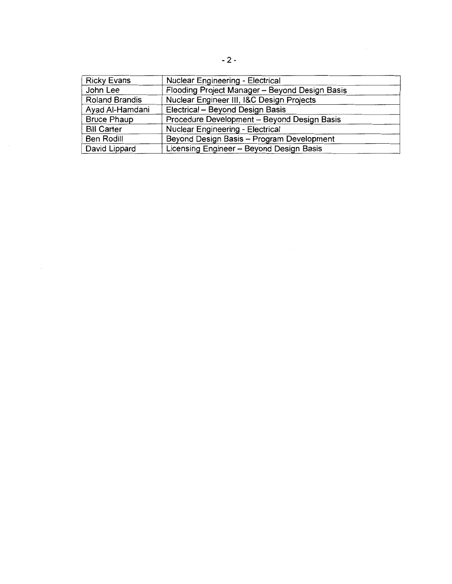| <b>Ricky Evans</b>    | Nuclear Engineering - Electrical               |
|-----------------------|------------------------------------------------|
| John Lee              | Flooding Project Manager - Beyond Design Basis |
| <b>Roland Brandis</b> | Nuclear Engineer III, I&C Design Projects      |
| Ayad Al-Hamdani       | Electrical - Beyond Design Basis               |
| <b>Bruce Phaup</b>    | Procedure Development - Beyond Design Basis    |
| <b>Bill Carter</b>    | Nuclear Engineering - Electrical               |
| Ben Rodill            | Beyond Design Basis - Program Development      |
| David Lippard         | Licensing Engineer - Beyond Design Basis       |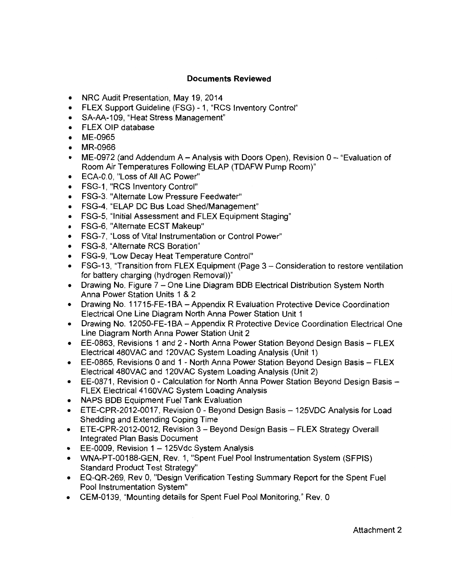## **Documents Reviewed**

- NRC Audit Presentation, May 19, 2014
- FLEX Support Guideline (FSG) 1, "RCS Inventory Control"
- SA-AA-109, "Heat Stress Management"
- FLEX OIP database
- ME-0965
- MR-0966
- ME-0972 (and Addendum A Analysis with Doors Open), Revision  $0-$  "Evaluation of Room Air Temperatures Following ELAP (TDAFW Pump Room)"
- ECA-0.0, "Loss of All AC Power"
- FSG-1, "RCS Inventory Control"
- FSG-3. "Alternate Low Pressure Feedwater"
- FSG-4, "ELAP DC Bus Load Shed/Management"
- FSG-5, "Initial Assessment and FLEX Equipment Staging"
- FSG-6, "Alternate ECST Makeup"
- FSG-7, "Loss of Vital Instrumentation or Control Power"
- FSG-8, "Alternate RCS Boration"
- FSG-9, "Low Decay Heat Temperature Control"
- FSG-13, "Transition from FLEX Equipment (Page 3 Consideration to restore ventilation for battery charging (hydrogen Removal))"
- Drawing No. Figure 7 One Line Diagram BDB Electrical Distribution System North Anna Power Station Units 1 & 2
- Drawing No. 11715-FE-1BA Appendix R Evaluation Protective Device Coordination Electrical One Line Diagram North Anna Power Station Unit 1
- Drawing No. 12050-FE-1BA Appendix R Protective Device Coordination Electrical One Line Diagram North Anna Power Station Unit 2
- EE-0863, Revisions 1 and 2 North Anna Power Station Beyond Design Basis FLEX Electrical 480VAC and 120VAC System Loading Analysis (Unit 1)
- EE-0865, Revisions 0 and 1 North Anna Power Station Beyond Design Basis- FLEX Electricai480VAC and 120VAC System Loading Analysis (Unit 2)
- EE-0871, Revision 0 Calculation for North Anna Power Station Beyond Design Basis -FLEX Electrical 4160VAC System Loading Analysis
- NAPS BOB Equipment Fuel Tank Evaluation
- ETE-CPR-2012-0017, Revision 0- Beyond Design Basis- 125VDC Analysis for Load Shedding and Extending Coping Time
- ETE-CPR-2012-0012, Revision 3 Beyond Design Basis FLEX Strategy Overall Integrated Plan Basis Document
- $\bullet$  EE-0009, Revision 1 125Vdc System Analysis
- WNA-PT-00188-GEN, Rev. 1, "Spent Fuel Pool Instrumentation System (SFPIS) Standard Product Test Strategy"
- EQ-QR-269, Rev 0, "Design Verification Testing Summary Report for the Spent Fuel Pool Instrumentation System"
- CEM-0139, "Mounting details for Spent Fuel Pool Monitoring," Rev. 0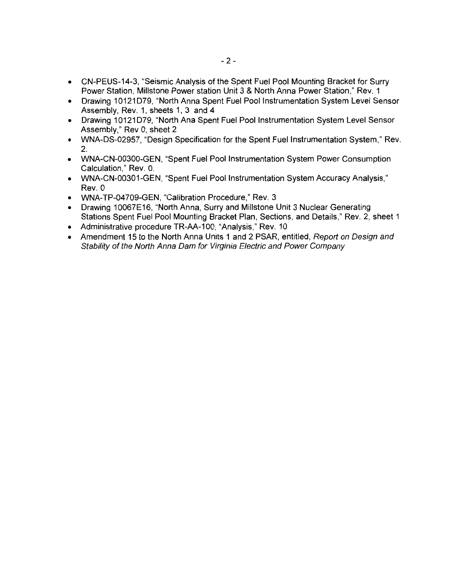- CN-PEUS-14-3, "Seismic Analysis of the Spent Fuel Pool Mounting Bracket for Surry Power Station, Millstone Power station Unit 3 & North Anna Power Station," Rev. 1
- Drawing 10121D79, "North Anna Spent Fuel Pool Instrumentation System Level Sensor Assembly, Rev. 1, sheets 1, 3 and 4
- Drawing 10121D79, "North Ana Spent Fuel Pool Instrumentation System Level Sensor Assembly," Rev 0, sheet 2
- WNA-DS-02957, "Design Specification for the Spent Fuel Instrumentation System," Rev. 2.
- WNA-CN-00300-GEN, "Spent Fuel Pool Instrumentation System Power Consumption Calculation," Rev. 0.
- WNA-CN-00301-GEN, "Spent Fuel Pool Instrumentation System Accuracy Analysis," Rev. 0
- WNA-TP-04709-GEN, "Calibration Procedure," Rev. 3
- Drawing 10067E16, "North Anna, Surry and Millstone Unit 3 Nuclear Generating Stations Spent Fuel Pool Mounting Bracket Plan, Sections, and Details," Rev. 2, sheet 1
- Administrative procedure TR-AA-1 00, "Analysis," Rev. 10
- Amendment 15 to the North Anna Units 1 and 2 PSAR, entitled, Report on Design and Stability of the North Anna Dam for Virginia Electric and Power Company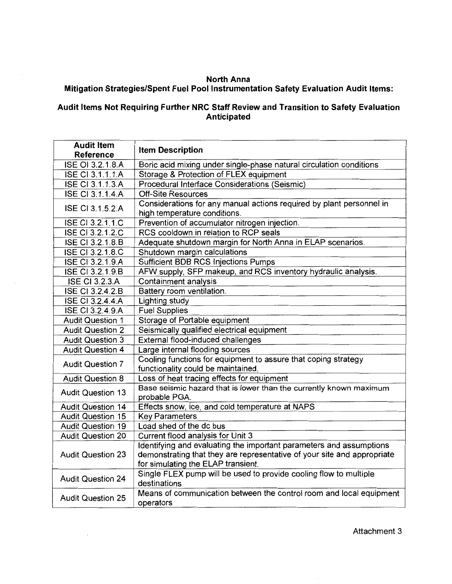## **North Anna Mitigation Strategies/Spent Fuel Pool Instrumentation Safety Evaluation Audit Items:**

## **Audit Items Not Requiring Further NRC Staff Review and Transition to Safety Evaluation Anticipated**

| <b>Audit Item</b><br>Reference | <b>Item Description</b>                                                                                                                                                              |
|--------------------------------|--------------------------------------------------------------------------------------------------------------------------------------------------------------------------------------|
| ISE OI 3.2.1.8.A               | Boric acid mixing under single-phase natural circulation conditions                                                                                                                  |
| ISE CI 3.1.1.1.A               | Storage & Protection of FLEX equipment                                                                                                                                               |
| <b>ISE CI 3.1.1.3.A</b>        | Procedural Interface Considerations (Seismic)                                                                                                                                        |
| <b>ISE CI 3.1.1.4.A</b>        | <b>Off-Site Resources</b>                                                                                                                                                            |
| ISE CI 3.1.5.2.A               | Considerations for any manual actions required by plant personnel in<br>high temperature conditions.                                                                                 |
| ISE CI 3.2.1.1.C               | Prevention of accumulator nitrogen injection.                                                                                                                                        |
| ISE CI 3.2.1.2.C               | RCS cooldown in relation to RCP seals                                                                                                                                                |
| ISE CI 3.2.1.8.B               | Adequate shutdown margin for North Anna in ELAP scenarios.                                                                                                                           |
| ISE CI 3.2.1.8.C               | Shutdown margin calculations                                                                                                                                                         |
| <b>ISE CI 3.2.1.9.A</b>        | <b>Sufficient BDB RCS Injections Pumps</b>                                                                                                                                           |
| ISE CI 3.2.1.9.B               | AFW supply, SFP makeup, and RCS inventory hydraulic analysis.                                                                                                                        |
| <b>ISE CI 3.2.3.A</b>          | Containment analysis                                                                                                                                                                 |
| <b>ISE CI 3.2.4.2.B</b>        | Battery room ventilation.                                                                                                                                                            |
| <b>ISE CI 3.2.4.4.A</b>        | Lighting study                                                                                                                                                                       |
| ISE CI 3.2.4.9.A               | <b>Fuel Supplies</b>                                                                                                                                                                 |
| <b>Audit Question 1</b>        | Storage of Portable equipment                                                                                                                                                        |
| <b>Audit Question 2</b>        | Seismically qualified electrical equipment                                                                                                                                           |
| <b>Audit Question 3</b>        | External flood-induced challenges                                                                                                                                                    |
| <b>Audit Question 4</b>        | Large internal flooding sources                                                                                                                                                      |
| <b>Audit Question 7</b>        | Cooling functions for equipment to assure that coping strategy<br>functionality could be maintained.                                                                                 |
| <b>Audit Question 8</b>        | Loss of heat tracing effects for equipment                                                                                                                                           |
| <b>Audit Question 13</b>       | Base seismic hazard that is lower than the currently known maximum<br>probable PGA.                                                                                                  |
| <b>Audit Question 14</b>       | Effects snow, ice, and cold temperature at NAPS                                                                                                                                      |
| <b>Audit Question 15</b>       | <b>Key Parameters</b>                                                                                                                                                                |
| <b>Audit Question 19</b>       | Load shed of the dc bus                                                                                                                                                              |
| <b>Audit Question 20</b>       | Current flood analysis for Unit 3                                                                                                                                                    |
| <b>Audit Question 23</b>       | Identifying and evaluating the important parameters and assumptions<br>demonstrating that they are representative of your site and appropriate<br>for simulating the ELAP transient. |
| <b>Audit Question 24</b>       | Single FLEX pump will be used to provide cooling flow to multiple<br>destinations                                                                                                    |
| <b>Audit Question 25</b>       | Means of communication between the control room and local equipment<br>operators                                                                                                     |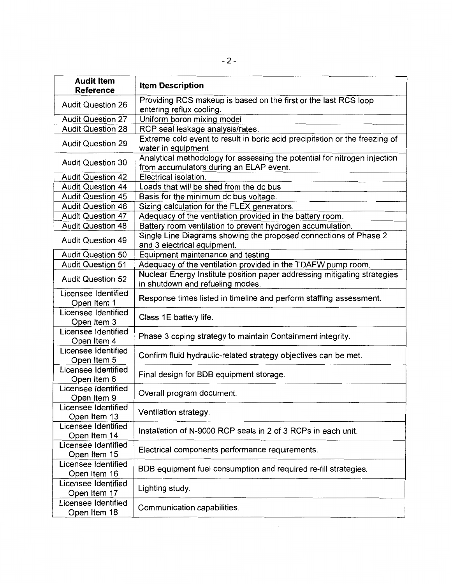| <b>Audit Item</b><br><b>Reference</b> | <b>Item Description</b>                                                                                              |
|---------------------------------------|----------------------------------------------------------------------------------------------------------------------|
| <b>Audit Question 26</b>              | Providing RCS makeup is based on the first or the last RCS loop<br>entering reflux cooling.                          |
| <b>Audit Question 27</b>              | Uniform boron mixing model                                                                                           |
| <b>Audit Question 28</b>              | RCP seal leakage analysis/rates.                                                                                     |
| <b>Audit Question 29</b>              | Extreme cold event to result in boric acid precipitation or the freezing of<br>water in equipment                    |
| <b>Audit Question 30</b>              | Analytical methodology for assessing the potential for nitrogen injection<br>from accumulators during an ELAP event. |
| <b>Audit Question 42</b>              | Electrical isolation.                                                                                                |
| <b>Audit Question 44</b>              | Loads that will be shed from the dc bus                                                                              |
| <b>Audit Question 45</b>              | Basis for the minimum dc bus voltage.                                                                                |
| <b>Audit Question 46</b>              | Sizing calculation for the FLEX generators.                                                                          |
| <b>Audit Question 47</b>              | Adequacy of the ventilation provided in the battery room.                                                            |
| <b>Audit Question 48</b>              | Battery room ventilation to prevent hydrogen accumulation.                                                           |
| <b>Audit Question 49</b>              | Single Line Diagrams showing the proposed connections of Phase 2<br>and 3 electrical equipment.                      |
| <b>Audit Question 50</b>              | Equipment maintenance and testing                                                                                    |
| <b>Audit Question 51</b>              | Adequacy of the ventilation provided in the TDAFW pump room.                                                         |
| <b>Audit Question 52</b>              | Nuclear Energy Institute position paper addressing mitigating strategies<br>in shutdown and refueling modes.         |
| Licensee Identified<br>Open Item 1    | Response times listed in timeline and perform staffing assessment.                                                   |
| Licensee Identified<br>Open Item 3    | Class 1E battery life.                                                                                               |
| Licensee Identified<br>Open Item 4    | Phase 3 coping strategy to maintain Containment integrity.                                                           |
| Licensee Identified<br>Open Item 5    | Confirm fluid hydraulic-related strategy objectives can be met.                                                      |
| Licensee Identified<br>Open Item 6    | Final design for BDB equipment storage.                                                                              |
| Licensee Identified<br>Open Item 9    | Overall program document.                                                                                            |
| Licensee Identified<br>Open Item 13   | Ventilation strategy.                                                                                                |
| Licensee Identified<br>Open Item 14   | Installation of N-9000 RCP seals in 2 of 3 RCPs in each unit.                                                        |
| Licensee Identified<br>Open Item 15   | Electrical components performance requirements.                                                                      |
| Licensee Identified<br>Open Item 16   | BDB equipment fuel consumption and required re-fill strategies.                                                      |
| Licensee Identified<br>Open Item 17   | Lighting study.                                                                                                      |
| Licensee Identified<br>Open Item 18   | Communication capabilities.                                                                                          |

 $\label{eq:2.1} \mathcal{L}(\mathcal{L}^{\text{max}}_{\mathcal{L}}(\mathcal{L}^{\text{max}}_{\mathcal{L}}),\mathcal{L}^{\text{max}}_{\mathcal{L}}(\mathcal{L}^{\text{max}}_{\mathcal{L}}))$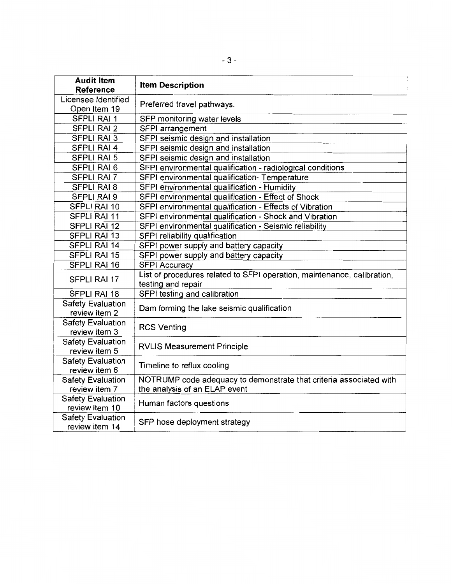| <b>Audit Item</b><br><b>Reference</b>     | <b>Item Description</b>                                                                             |  |
|-------------------------------------------|-----------------------------------------------------------------------------------------------------|--|
| Licensee Identified                       |                                                                                                     |  |
| Open Item 19                              | Preferred travel pathways.                                                                          |  |
| <b>SFPLI RAI 1</b>                        | SFP monitoring water levels                                                                         |  |
| <b>SFPLI RAI 2</b>                        | SFPI arrangement                                                                                    |  |
| <b>SFPLI RAI 3</b>                        | SFPI seismic design and installation                                                                |  |
| <b>SFPLI RAI 4</b>                        | SFPI seismic design and installation                                                                |  |
| <b>SFPLI RAI 5</b>                        | SFPI seismic design and installation                                                                |  |
| <b>SFPLI RAI 6</b>                        | SFPI environmental qualification - radiological conditions                                          |  |
| <b>SFPLI RAI 7</b>                        | SFPI environmental qualification- Temperature                                                       |  |
| <b>SFPLI RAI 8</b>                        | SFPI environmental qualification - Humidity                                                         |  |
| SFPLI RAI 9                               | SFPI environmental qualification - Effect of Shock                                                  |  |
| SFPLI RAI 10                              | SFPI environmental qualification - Effects of Vibration                                             |  |
| <b>SFPLI RAI 11</b>                       | SFPI environmental qualification - Shock and Vibration                                              |  |
| <b>SFPLI RAI 12</b>                       | SFPI environmental qualification - Seismic reliability                                              |  |
| <b>SFPLI RAI 13</b>                       | SFPI reliability qualification                                                                      |  |
| <b>SFPLI RAI 14</b>                       | SFPI power supply and battery capacity                                                              |  |
| <b>SFPLI RAI 15</b>                       | SFPI power supply and battery capacity                                                              |  |
| <b>SFPLI RAI 16</b>                       | <b>SFPI Accuracy</b>                                                                                |  |
| <b>SFPLI RAI 17</b>                       | List of procedures related to SFPI operation, maintenance, calibration,                             |  |
|                                           | testing and repair                                                                                  |  |
| <b>SFPLI RAI 18</b>                       | SFPI testing and calibration                                                                        |  |
| <b>Safety Evaluation</b>                  | Dam forming the lake seismic qualification                                                          |  |
| review item 2                             |                                                                                                     |  |
| <b>Safety Evaluation</b>                  | <b>RCS Venting</b>                                                                                  |  |
| review item 3                             |                                                                                                     |  |
| <b>Safety Evaluation</b>                  | <b>RVLIS Measurement Principle</b>                                                                  |  |
| review item 5                             |                                                                                                     |  |
| <b>Safety Evaluation</b>                  | Timeline to reflux cooling                                                                          |  |
| review item 6<br><b>Safety Evaluation</b> |                                                                                                     |  |
| review item 7                             | NOTRUMP code adequacy to demonstrate that criteria associated with<br>the analysis of an ELAP event |  |
| <b>Safety Evaluation</b>                  |                                                                                                     |  |
| review item 10                            | Human factors questions                                                                             |  |
| <b>Safety Evaluation</b>                  |                                                                                                     |  |
| review item 14                            | SFP hose deployment strategy                                                                        |  |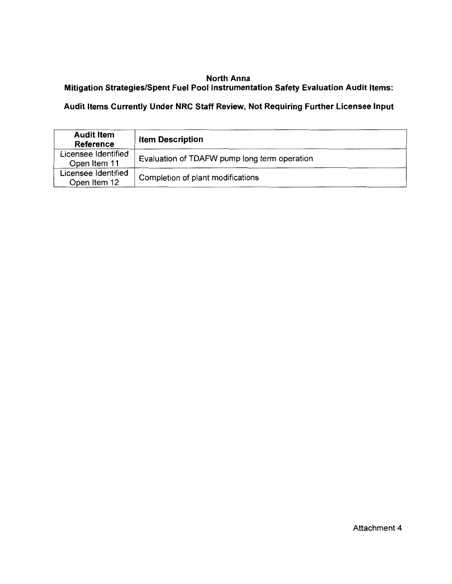## North Anna Mitigation Strategies/Spent Fuel Pool Instrumentation Safety Evaluation Audit Items:

## Audit Items Currently Under NRC Staff Review, Not Requiring Further Licensee Input

| <b>Audit Item</b><br><b>Reference</b> | <b>Item Description</b>                      |
|---------------------------------------|----------------------------------------------|
| Licensee Identified<br>Open Item 11   | Evaluation of TDAFW pump long term operation |
| Licensee Identified<br>Open Item 12   | Completion of plant modifications            |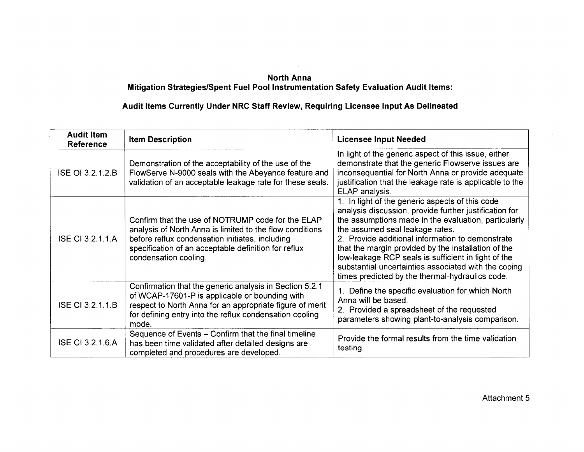## **North Anna Mitigation Strategies/Spent Fuel Pool Instrumentation Safety Evaluation Audit Items:**

## **Audit Items Currently Under NRC Staff Review, Requiring Licensee Input As Delineated**

| <b>Audit Item</b><br>Reference | <b>Item Description</b>                                                                                                                                                                                                                           | <b>Licensee Input Needed</b>                                                                                                                                                                                                                                                                                                                                                                                                                                                      |
|--------------------------------|---------------------------------------------------------------------------------------------------------------------------------------------------------------------------------------------------------------------------------------------------|-----------------------------------------------------------------------------------------------------------------------------------------------------------------------------------------------------------------------------------------------------------------------------------------------------------------------------------------------------------------------------------------------------------------------------------------------------------------------------------|
| ISE OI 3.2.1.2.B               | Demonstration of the acceptability of the use of the<br>FlowServe N-9000 seals with the Abeyance feature and<br>validation of an acceptable leakage rate for these seals.                                                                         | In light of the generic aspect of this issue, either<br>demonstrate that the generic Flowserve issues are<br>inconsequential for North Anna or provide adequate<br>justification that the leakage rate is applicable to the<br>ELAP analysis.                                                                                                                                                                                                                                     |
| <b>ISE CI 3.2.1.1.A</b>        | Confirm that the use of NOTRUMP code for the ELAP<br>analysis of North Anna is limited to the flow conditions<br>before reflux condensation initiates, including<br>specification of an acceptable definition for reflux<br>condensation cooling. | 1. In light of the generic aspects of this code<br>analysis discussion, provide further justification for<br>the assumptions made in the evaluation, particularly<br>the assumed seal leakage rates.<br>2. Provide additional information to demonstrate<br>that the margin provided by the installation of the<br>low-leakage RCP seals is sufficient in light of the<br>substantial uncertainties associated with the coping<br>times predicted by the thermal-hydraulics code. |
| ISE CI 3.2.1.1.B               | Confirmation that the generic analysis in Section 5.2.1<br>of WCAP-17601-P is applicable or bounding with<br>respect to North Anna for an appropriate figure of merit<br>for defining entry into the reflux condensation cooling<br>mode.         | 1. Define the specific evaluation for which North<br>Anna will be based.<br>2. Provided a spreadsheet of the requested<br>parameters showing plant-to-analysis comparison.                                                                                                                                                                                                                                                                                                        |
| <b>ISE CI 3.2.1.6.A</b>        | Sequence of Events - Confirm that the final timeline<br>has been time validated after detailed designs are<br>completed and procedures are developed.                                                                                             | Provide the formal results from the time validation<br>testing.                                                                                                                                                                                                                                                                                                                                                                                                                   |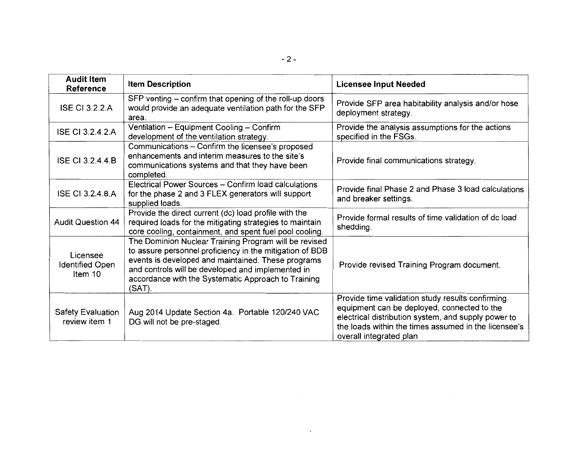| <b>Audit Item</b><br><b>Reference</b>         | <b>Item Description</b>                                                                                                                                                                                                                                                                       | <b>Licensee Input Needed</b>                                                                                                                                                                                                              |
|-----------------------------------------------|-----------------------------------------------------------------------------------------------------------------------------------------------------------------------------------------------------------------------------------------------------------------------------------------------|-------------------------------------------------------------------------------------------------------------------------------------------------------------------------------------------------------------------------------------------|
| <b>ISE CI 3.2.2.A</b>                         | SFP venting – confirm that opening of the roll-up doors<br>would provide an adequate ventilation path for the SFP<br>area.                                                                                                                                                                    | Provide SFP area habitability analysis and/or hose<br>deployment strategy.                                                                                                                                                                |
| <b>ISE CI 3.2.4.2.A</b>                       | Ventilation - Equipment Cooling - Confirm<br>development of the ventilation strategy.                                                                                                                                                                                                         | Provide the analysis assumptions for the actions<br>specified in the FSGs.                                                                                                                                                                |
| <b>ISE CI 3.2.4.4.B</b>                       | Communications - Confirm the licensee's proposed<br>enhancements and interim measures to the site's<br>communications systems and that they have been<br>completed.                                                                                                                           | Provide final communications strategy.                                                                                                                                                                                                    |
| <b>ISE CI 3.2.4.8.A</b>                       | Electrical Power Sources - Confirm load calculations<br>for the phase 2 and 3 FLEX generators will support<br>supplied loads.                                                                                                                                                                 | Provide final Phase 2 and Phase 3 load calculations<br>and breaker settings.                                                                                                                                                              |
| <b>Audit Question 44</b>                      | Provide the direct current (dc) load profile with the<br>required loads for the mitigating strategies to maintain<br>core cooling, containment, and spent fuel pool cooling.                                                                                                                  | Provide formal results of time validation of dc load<br>shedding.                                                                                                                                                                         |
| Licensee<br><b>Identified Open</b><br>Item 10 | The Dominion Nuclear Training Program will be revised<br>to assure personnel proficiency in the mitigation of BDB<br>events is developed and maintained. These programs<br>and controls will be developed and implemented in<br>accordance with the Systematic Approach to Training<br>(SAT). | Provide revised Training Program document.                                                                                                                                                                                                |
| <b>Safety Evaluation</b><br>review item 1     | Aug 2014 Update Section 4a. Portable 120/240 VAC<br>DG will not be pre-staged.                                                                                                                                                                                                                | Provide time validation study results confirming<br>equipment can be deployed, connected to the<br>electrical distribution system, and supply power to<br>the loads within the times assumed in the licensee's<br>overall integrated plan |

 $\langle \cdot \rangle$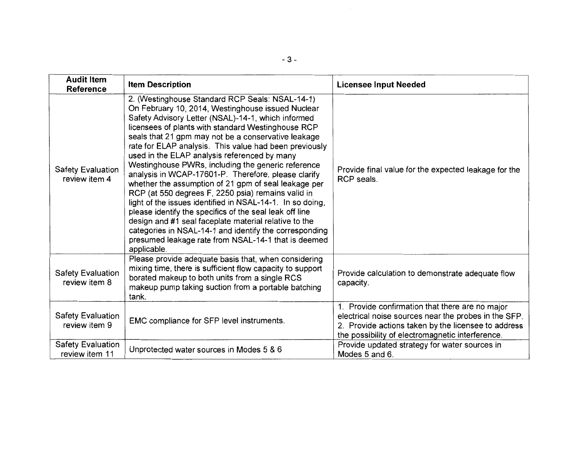| <b>Audit Item</b><br><b>Reference</b>      | <b>Item Description</b>                                                                                                                                                                                                                                                                                                                                                                                                                                                                                                                                                                                                                                                                                                                                                                                                                                                                                                       | <b>Licensee Input Needed</b>                                                                                                                                                                                       |
|--------------------------------------------|-------------------------------------------------------------------------------------------------------------------------------------------------------------------------------------------------------------------------------------------------------------------------------------------------------------------------------------------------------------------------------------------------------------------------------------------------------------------------------------------------------------------------------------------------------------------------------------------------------------------------------------------------------------------------------------------------------------------------------------------------------------------------------------------------------------------------------------------------------------------------------------------------------------------------------|--------------------------------------------------------------------------------------------------------------------------------------------------------------------------------------------------------------------|
| <b>Safety Evaluation</b><br>review item 4  | 2. (Westinghouse Standard RCP Seals: NSAL-14-1)<br>On February 10, 2014, Westinghouse issued Nuclear<br>Safety Advisory Letter (NSAL)-14-1, which informed<br>licensees of plants with standard Westinghouse RCP<br>seals that 21 gpm may not be a conservative leakage<br>rate for ELAP analysis. This value had been previously<br>used in the ELAP analysis referenced by many<br>Westinghouse PWRs, including the generic reference<br>analysis in WCAP-17601-P. Therefore, please clarify<br>whether the assumption of 21 gpm of seal leakage per<br>RCP (at 550 degrees F, 2250 psia) remains valid in<br>light of the issues identified in NSAL-14-1. In so doing,<br>please identify the specifics of the seal leak off line<br>design and #1 seal faceplate material relative to the<br>categories in NSAL-14-1 and identify the corresponding<br>presumed leakage rate from NSAL-14-1 that is deemed<br>applicable. | Provide final value for the expected leakage for the<br>RCP seals.                                                                                                                                                 |
| <b>Safety Evaluation</b><br>review item 8  | Please provide adequate basis that, when considering<br>mixing time, there is sufficient flow capacity to support<br>borated makeup to both units from a single RCS<br>makeup pump taking suction from a portable batching<br>tank.                                                                                                                                                                                                                                                                                                                                                                                                                                                                                                                                                                                                                                                                                           | Provide calculation to demonstrate adequate flow<br>capacity.                                                                                                                                                      |
| <b>Safety Evaluation</b><br>review item 9  | <b>EMC</b> compliance for SFP level instruments.                                                                                                                                                                                                                                                                                                                                                                                                                                                                                                                                                                                                                                                                                                                                                                                                                                                                              | 1. Provide confirmation that there are no major<br>electrical noise sources near the probes in the SFP.<br>2. Provide actions taken by the licensee to address<br>the possibility of electromagnetic interference. |
| <b>Safety Evaluation</b><br>review item 11 | Unprotected water sources in Modes 5 & 6                                                                                                                                                                                                                                                                                                                                                                                                                                                                                                                                                                                                                                                                                                                                                                                                                                                                                      | Provide updated strategy for water sources in<br>Modes 5 and 6.                                                                                                                                                    |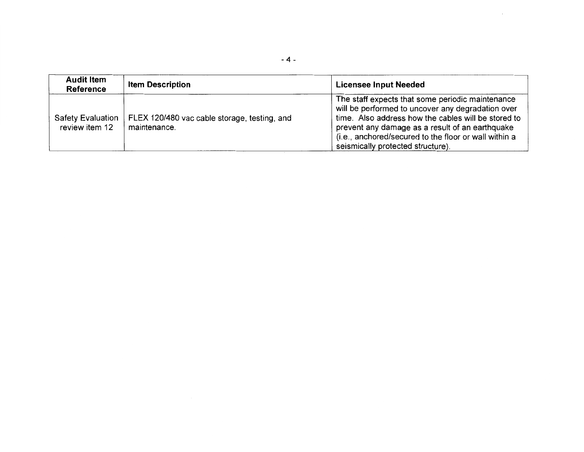| <b>Audit Item</b><br><b>Reference</b>      | <b>Item Description</b>                                      | <b>Licensee Input Needed</b>                                                                                                                                                                                                                                                                                  |  |
|--------------------------------------------|--------------------------------------------------------------|---------------------------------------------------------------------------------------------------------------------------------------------------------------------------------------------------------------------------------------------------------------------------------------------------------------|--|
| <b>Safety Evaluation</b><br>review item 12 | FLEX 120/480 vac cable storage, testing, and<br>maintenance. | The staff expects that some periodic maintenance<br>will be performed to uncover any degradation over<br>time. Also address how the cables will be stored to<br>prevent any damage as a result of an earthquake<br>(i.e., anchored/secured to the floor or wall within a<br>seismically protected structure). |  |

 $\mathcal{L}^{\text{max}}_{\text{max}}$